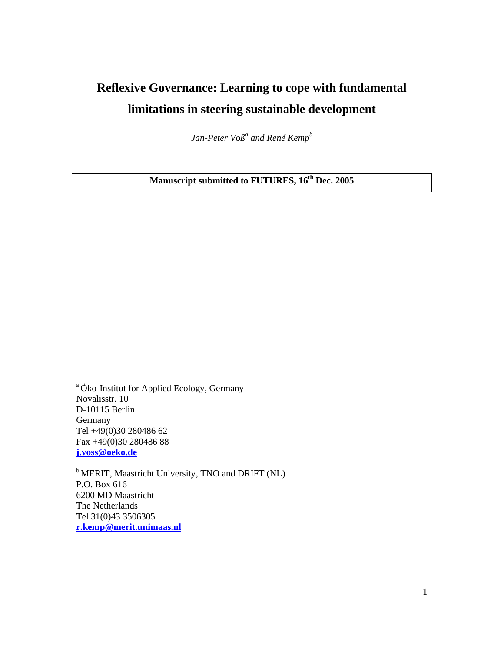# **Reflexive Governance: Learning to cope with fundamental limitations in steering sustainable development**

Jan-Peter Voß<sup>a</sup> and René Kemp<sup>b</sup>

**Manuscript submitted to FUTURES, 16th Dec. 2005** 

a Öko-Institut for Applied Ecology, Germany Novalisstr. 10 D-10115 Berlin Germany Tel +49(0)30 280486 62 Fax +49(0)30 280486 88 **j.voss@oeko.de**

<sup>b</sup> MERIT, Maastricht University, TNO and DRIFT (NL) P.O. Box 616 6200 MD Maastricht The Netherlands Tel 31(0)43 3506305 **r.kemp@merit.unimaas.nl**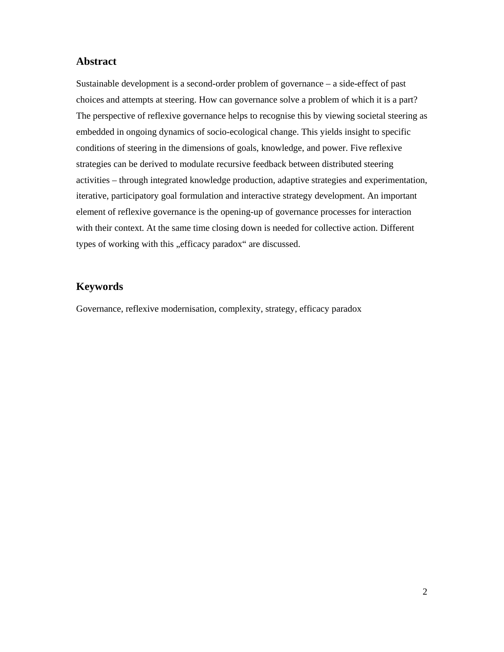### **Abstract**

Sustainable development is a second-order problem of governance – a side-effect of past choices and attempts at steering. How can governance solve a problem of which it is a part? The perspective of reflexive governance helps to recognise this by viewing societal steering as embedded in ongoing dynamics of socio-ecological change. This yields insight to specific conditions of steering in the dimensions of goals, knowledge, and power. Five reflexive strategies can be derived to modulate recursive feedback between distributed steering activities – through integrated knowledge production, adaptive strategies and experimentation, iterative, participatory goal formulation and interactive strategy development. An important element of reflexive governance is the opening-up of governance processes for interaction with their context. At the same time closing down is needed for collective action. Different types of working with this "efficacy paradox" are discussed.

## **Keywords**

Governance, reflexive modernisation, complexity, strategy, efficacy paradox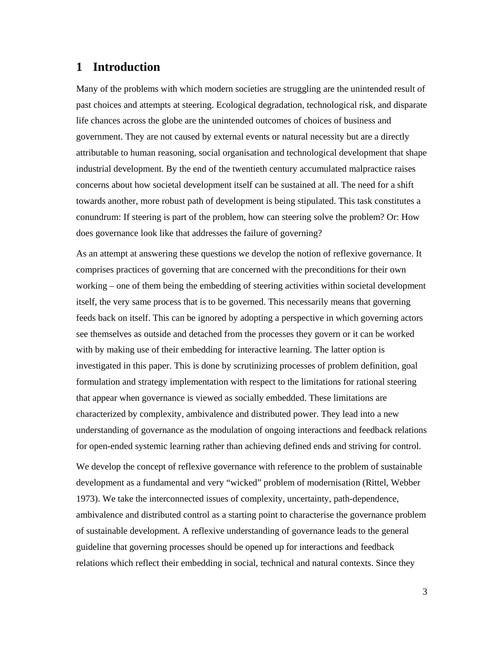## **1 Introduction**

Many of the problems with which modern societies are struggling are the unintended result of past choices and attempts at steering. Ecological degradation, technological risk, and disparate life chances across the globe are the unintended outcomes of choices of business and government. They are not caused by external events or natural necessity but are a directly attributable to human reasoning, social organisation and technological development that shape industrial development. By the end of the twentieth century accumulated malpractice raises concerns about how societal development itself can be sustained at all. The need for a shift towards another, more robust path of development is being stipulated. This task constitutes a conundrum: If steering is part of the problem, how can steering solve the problem? Or: How does governance look like that addresses the failure of governing?

As an attempt at answering these questions we develop the notion of reflexive governance. It comprises practices of governing that are concerned with the preconditions for their own working – one of them being the embedding of steering activities within societal development itself, the very same process that is to be governed. This necessarily means that governing feeds back on itself. This can be ignored by adopting a perspective in which governing actors see themselves as outside and detached from the processes they govern or it can be worked with by making use of their embedding for interactive learning. The latter option is investigated in this paper. This is done by scrutinizing processes of problem definition, goal formulation and strategy implementation with respect to the limitations for rational steering that appear when governance is viewed as socially embedded. These limitations are characterized by complexity, ambivalence and distributed power. They lead into a new understanding of governance as the modulation of ongoing interactions and feedback relations for open-ended systemic learning rather than achieving defined ends and striving for control.

We develop the concept of reflexive governance with reference to the problem of sustainable development as a fundamental and very "wicked" problem of modernisation (Rittel, Webber 1973). We take the interconnected issues of complexity, uncertainty, path-dependence, ambivalence and distributed control as a starting point to characterise the governance problem of sustainable development. A reflexive understanding of governance leads to the general guideline that governing processes should be opened up for interactions and feedback relations which reflect their embedding in social, technical and natural contexts. Since they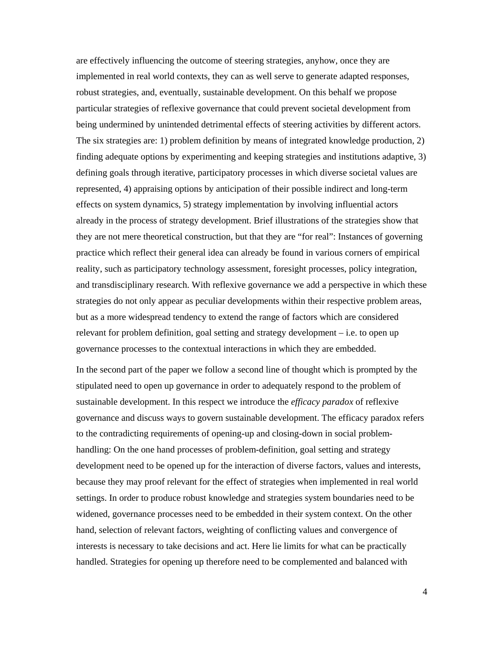are effectively influencing the outcome of steering strategies, anyhow, once they are implemented in real world contexts, they can as well serve to generate adapted responses, robust strategies, and, eventually, sustainable development. On this behalf we propose particular strategies of reflexive governance that could prevent societal development from being undermined by unintended detrimental effects of steering activities by different actors. The six strategies are: 1) problem definition by means of integrated knowledge production, 2) finding adequate options by experimenting and keeping strategies and institutions adaptive, 3) defining goals through iterative, participatory processes in which diverse societal values are represented, 4) appraising options by anticipation of their possible indirect and long-term effects on system dynamics, 5) strategy implementation by involving influential actors already in the process of strategy development. Brief illustrations of the strategies show that they are not mere theoretical construction, but that they are "for real": Instances of governing practice which reflect their general idea can already be found in various corners of empirical reality, such as participatory technology assessment, foresight processes, policy integration, and transdisciplinary research. With reflexive governance we add a perspective in which these strategies do not only appear as peculiar developments within their respective problem areas, but as a more widespread tendency to extend the range of factors which are considered relevant for problem definition, goal setting and strategy development – i.e. to open up governance processes to the contextual interactions in which they are embedded.

In the second part of the paper we follow a second line of thought which is prompted by the stipulated need to open up governance in order to adequately respond to the problem of sustainable development. In this respect we introduce the *efficacy paradox* of reflexive governance and discuss ways to govern sustainable development. The efficacy paradox refers to the contradicting requirements of opening-up and closing-down in social problemhandling: On the one hand processes of problem-definition, goal setting and strategy development need to be opened up for the interaction of diverse factors, values and interests, because they may proof relevant for the effect of strategies when implemented in real world settings. In order to produce robust knowledge and strategies system boundaries need to be widened, governance processes need to be embedded in their system context. On the other hand, selection of relevant factors, weighting of conflicting values and convergence of interests is necessary to take decisions and act. Here lie limits for what can be practically handled. Strategies for opening up therefore need to be complemented and balanced with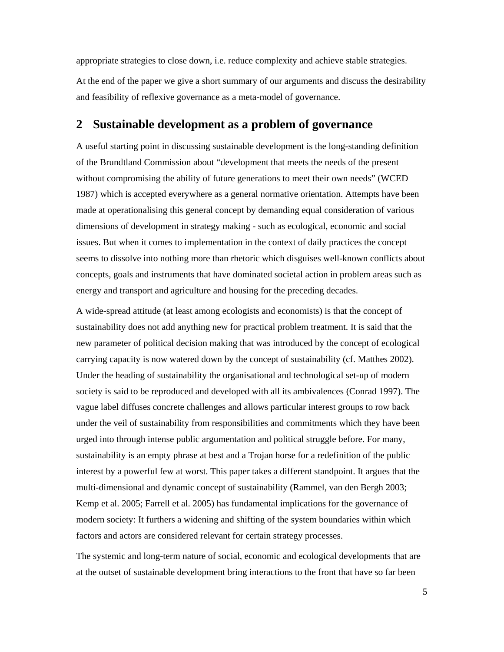appropriate strategies to close down, i.e. reduce complexity and achieve stable strategies.

At the end of the paper we give a short summary of our arguments and discuss the desirability and feasibility of reflexive governance as a meta-model of governance.

## **2 Sustainable development as a problem of governance**

A useful starting point in discussing sustainable development is the long-standing definition of the Brundtland Commission about "development that meets the needs of the present without compromising the ability of future generations to meet their own needs" (WCED 1987) which is accepted everywhere as a general normative orientation. Attempts have been made at operationalising this general concept by demanding equal consideration of various dimensions of development in strategy making - such as ecological, economic and social issues. But when it comes to implementation in the context of daily practices the concept seems to dissolve into nothing more than rhetoric which disguises well-known conflicts about concepts, goals and instruments that have dominated societal action in problem areas such as energy and transport and agriculture and housing for the preceding decades.

A wide-spread attitude (at least among ecologists and economists) is that the concept of sustainability does not add anything new for practical problem treatment. It is said that the new parameter of political decision making that was introduced by the concept of ecological carrying capacity is now watered down by the concept of sustainability (cf. Matthes 2002). Under the heading of sustainability the organisational and technological set-up of modern society is said to be reproduced and developed with all its ambivalences (Conrad 1997). The vague label diffuses concrete challenges and allows particular interest groups to row back under the veil of sustainability from responsibilities and commitments which they have been urged into through intense public argumentation and political struggle before. For many, sustainability is an empty phrase at best and a Trojan horse for a redefinition of the public interest by a powerful few at worst. This paper takes a different standpoint. It argues that the multi-dimensional and dynamic concept of sustainability (Rammel, van den Bergh 2003; Kemp et al. 2005; Farrell et al. 2005) has fundamental implications for the governance of modern society: It furthers a widening and shifting of the system boundaries within which factors and actors are considered relevant for certain strategy processes.

The systemic and long-term nature of social, economic and ecological developments that are at the outset of sustainable development bring interactions to the front that have so far been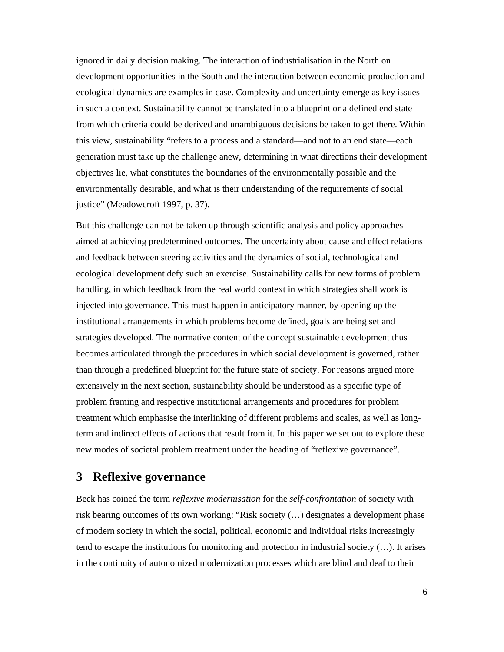ignored in daily decision making. The interaction of industrialisation in the North on development opportunities in the South and the interaction between economic production and ecological dynamics are examples in case. Complexity and uncertainty emerge as key issues in such a context. Sustainability cannot be translated into a blueprint or a defined end state from which criteria could be derived and unambiguous decisions be taken to get there. Within this view, sustainability "refers to a process and a standard—and not to an end state—each generation must take up the challenge anew, determining in what directions their development objectives lie, what constitutes the boundaries of the environmentally possible and the environmentally desirable, and what is their understanding of the requirements of social justice" (Meadowcroft 1997, p. 37).

But this challenge can not be taken up through scientific analysis and policy approaches aimed at achieving predetermined outcomes. The uncertainty about cause and effect relations and feedback between steering activities and the dynamics of social, technological and ecological development defy such an exercise. Sustainability calls for new forms of problem handling, in which feedback from the real world context in which strategies shall work is injected into governance. This must happen in anticipatory manner, by opening up the institutional arrangements in which problems become defined, goals are being set and strategies developed. The normative content of the concept sustainable development thus becomes articulated through the procedures in which social development is governed, rather than through a predefined blueprint for the future state of society. For reasons argued more extensively in the next section, sustainability should be understood as a specific type of problem framing and respective institutional arrangements and procedures for problem treatment which emphasise the interlinking of different problems and scales, as well as longterm and indirect effects of actions that result from it. In this paper we set out to explore these new modes of societal problem treatment under the heading of "reflexive governance".

## **3 Reflexive governance**

Beck has coined the term *reflexive modernisation* for the *self-confrontation* of society with risk bearing outcomes of its own working: "Risk society (…) designates a development phase of modern society in which the social, political, economic and individual risks increasingly tend to escape the institutions for monitoring and protection in industrial society (…). It arises in the continuity of autonomized modernization processes which are blind and deaf to their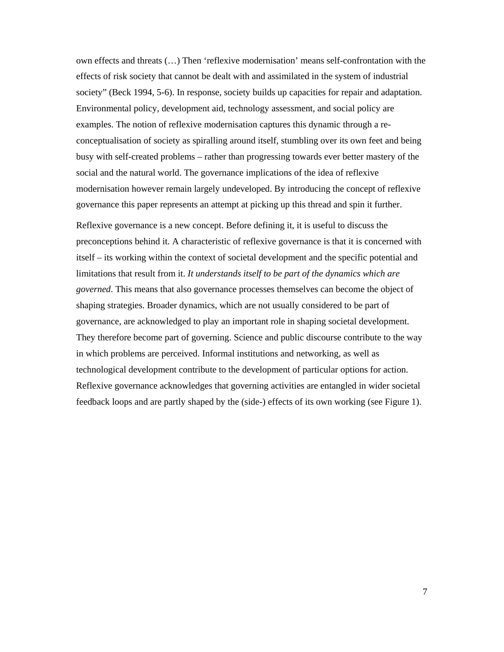own effects and threats (…) Then 'reflexive modernisation' means self-confrontation with the effects of risk society that cannot be dealt with and assimilated in the system of industrial society" (Beck 1994, 5-6). In response, society builds up capacities for repair and adaptation. Environmental policy, development aid, technology assessment, and social policy are examples. The notion of reflexive modernisation captures this dynamic through a reconceptualisation of society as spiralling around itself, stumbling over its own feet and being busy with self-created problems – rather than progressing towards ever better mastery of the social and the natural world. The governance implications of the idea of reflexive modernisation however remain largely undeveloped. By introducing the concept of reflexive governance this paper represents an attempt at picking up this thread and spin it further.

Reflexive governance is a new concept. Before defining it, it is useful to discuss the preconceptions behind it. A characteristic of reflexive governance is that it is concerned with itself – its working within the context of societal development and the specific potential and limitations that result from it. *It understands itself to be part of the dynamics which are governed*. This means that also governance processes themselves can become the object of shaping strategies. Broader dynamics, which are not usually considered to be part of governance, are acknowledged to play an important role in shaping societal development. They therefore become part of governing. Science and public discourse contribute to the way in which problems are perceived. Informal institutions and networking, as well as technological development contribute to the development of particular options for action. Reflexive governance acknowledges that governing activities are entangled in wider societal feedback loops and are partly shaped by the (side-) effects of its own working (see Figure 1).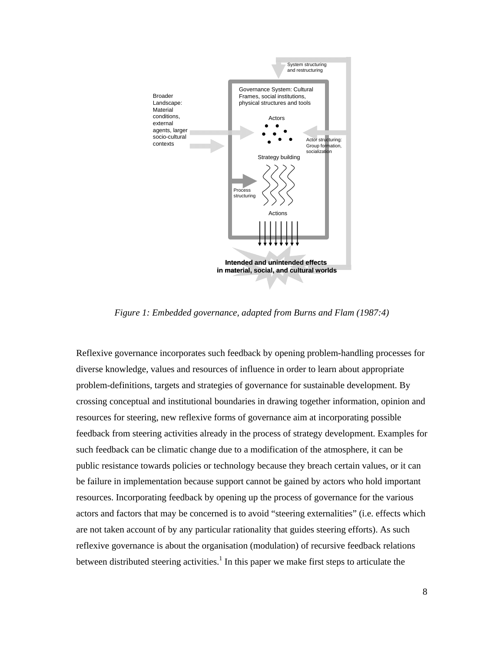

*Figure 1: Embedded governance, adapted from Burns and Flam (1987:4)* 

Reflexive governance incorporates such feedback by opening problem-handling processes for diverse knowledge, values and resources of influence in order to learn about appropriate problem-definitions, targets and strategies of governance for sustainable development. By crossing conceptual and institutional boundaries in drawing together information, opinion and resources for steering, new reflexive forms of governance aim at incorporating possible feedback from steering activities already in the process of strategy development. Examples for such feedback can be climatic change due to a modification of the atmosphere, it can be public resistance towards policies or technology because they breach certain values, or it can be failure in implementation because support cannot be gained by actors who hold important resources. Incorporating feedback by opening up the process of governance for the various actors and factors that may be concerned is to avoid "steering externalities" (i.e. effects which are not taken account of by any particular rationality that guides steering efforts). As such reflexive governance is about the organisation (modulation) of recursive feedback relations between distributed steering activities.<sup>1</sup> In this paper we make first steps to articulate the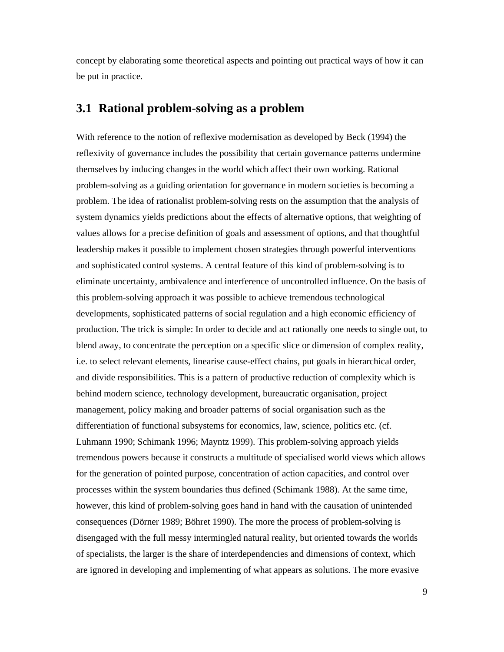concept by elaborating some theoretical aspects and pointing out practical ways of how it can be put in practice.

### **3.1 Rational problem-solving as a problem**

With reference to the notion of reflexive modernisation as developed by Beck (1994) the reflexivity of governance includes the possibility that certain governance patterns undermine themselves by inducing changes in the world which affect their own working. Rational problem-solving as a guiding orientation for governance in modern societies is becoming a problem. The idea of rationalist problem-solving rests on the assumption that the analysis of system dynamics yields predictions about the effects of alternative options, that weighting of values allows for a precise definition of goals and assessment of options, and that thoughtful leadership makes it possible to implement chosen strategies through powerful interventions and sophisticated control systems. A central feature of this kind of problem-solving is to eliminate uncertainty, ambivalence and interference of uncontrolled influence. On the basis of this problem-solving approach it was possible to achieve tremendous technological developments, sophisticated patterns of social regulation and a high economic efficiency of production. The trick is simple: In order to decide and act rationally one needs to single out, to blend away, to concentrate the perception on a specific slice or dimension of complex reality, i.e. to select relevant elements, linearise cause-effect chains, put goals in hierarchical order, and divide responsibilities. This is a pattern of productive reduction of complexity which is behind modern science, technology development, bureaucratic organisation, project management, policy making and broader patterns of social organisation such as the differentiation of functional subsystems for economics, law, science, politics etc. (cf. Luhmann 1990; Schimank 1996; Mayntz 1999). This problem-solving approach yields tremendous powers because it constructs a multitude of specialised world views which allows for the generation of pointed purpose, concentration of action capacities, and control over processes within the system boundaries thus defined (Schimank 1988). At the same time, however, this kind of problem-solving goes hand in hand with the causation of unintended consequences (Dörner 1989; Böhret 1990). The more the process of problem-solving is disengaged with the full messy intermingled natural reality, but oriented towards the worlds of specialists, the larger is the share of interdependencies and dimensions of context, which are ignored in developing and implementing of what appears as solutions. The more evasive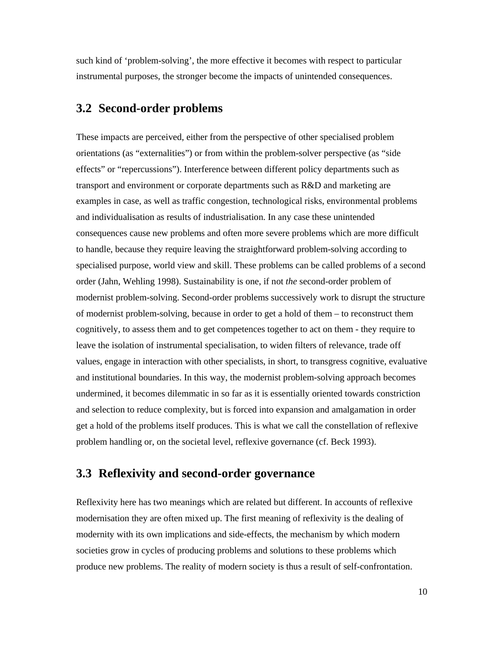such kind of 'problem-solving', the more effective it becomes with respect to particular instrumental purposes, the stronger become the impacts of unintended consequences.

### **3.2 Second-order problems**

These impacts are perceived, either from the perspective of other specialised problem orientations (as "externalities") or from within the problem-solver perspective (as "side effects" or "repercussions"). Interference between different policy departments such as transport and environment or corporate departments such as R&D and marketing are examples in case, as well as traffic congestion, technological risks, environmental problems and individualisation as results of industrialisation. In any case these unintended consequences cause new problems and often more severe problems which are more difficult to handle, because they require leaving the straightforward problem-solving according to specialised purpose, world view and skill. These problems can be called problems of a second order (Jahn, Wehling 1998). Sustainability is one, if not *the* second-order problem of modernist problem-solving. Second-order problems successively work to disrupt the structure of modernist problem-solving, because in order to get a hold of them – to reconstruct them cognitively, to assess them and to get competences together to act on them - they require to leave the isolation of instrumental specialisation, to widen filters of relevance, trade off values, engage in interaction with other specialists, in short, to transgress cognitive, evaluative and institutional boundaries. In this way, the modernist problem-solving approach becomes undermined, it becomes dilemmatic in so far as it is essentially oriented towards constriction and selection to reduce complexity, but is forced into expansion and amalgamation in order get a hold of the problems itself produces. This is what we call the constellation of reflexive problem handling or, on the societal level, reflexive governance (cf. Beck 1993).

## **3.3 Reflexivity and second-order governance**

Reflexivity here has two meanings which are related but different. In accounts of reflexive modernisation they are often mixed up. The first meaning of reflexivity is the dealing of modernity with its own implications and side-effects, the mechanism by which modern societies grow in cycles of producing problems and solutions to these problems which produce new problems. The reality of modern society is thus a result of self-confrontation.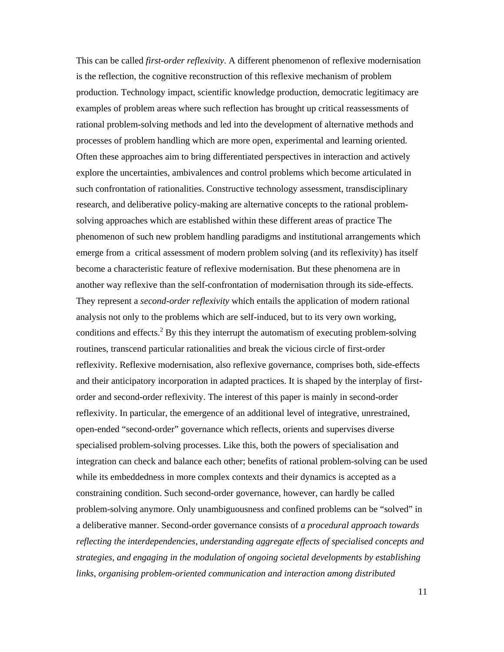This can be called *first-order reflexivity*. A different phenomenon of reflexive modernisation is the reflection, the cognitive reconstruction of this reflexive mechanism of problem production. Technology impact, scientific knowledge production, democratic legitimacy are examples of problem areas where such reflection has brought up critical reassessments of rational problem-solving methods and led into the development of alternative methods and processes of problem handling which are more open, experimental and learning oriented. Often these approaches aim to bring differentiated perspectives in interaction and actively explore the uncertainties, ambivalences and control problems which become articulated in such confrontation of rationalities. Constructive technology assessment, transdisciplinary research, and deliberative policy-making are alternative concepts to the rational problemsolving approaches which are established within these different areas of practice The phenomenon of such new problem handling paradigms and institutional arrangements which emerge from a critical assessment of modern problem solving (and its reflexivity) has itself become a characteristic feature of reflexive modernisation. But these phenomena are in another way reflexive than the self-confrontation of modernisation through its side-effects. They represent a *second-order reflexivity* which entails the application of modern rational analysis not only to the problems which are self-induced, but to its very own working, conditions and effects. $2$  By this they interrupt the automatism of executing problem-solving routines, transcend particular rationalities and break the vicious circle of first-order reflexivity. Reflexive modernisation, also reflexive governance, comprises both, side-effects and their anticipatory incorporation in adapted practices. It is shaped by the interplay of firstorder and second-order reflexivity. The interest of this paper is mainly in second-order reflexivity. In particular, the emergence of an additional level of integrative, unrestrained, open-ended "second-order" governance which reflects, orients and supervises diverse specialised problem-solving processes. Like this, both the powers of specialisation and integration can check and balance each other; benefits of rational problem-solving can be used while its embeddedness in more complex contexts and their dynamics is accepted as a constraining condition. Such second-order governance, however, can hardly be called problem-solving anymore. Only unambiguousness and confined problems can be "solved" in a deliberative manner. Second-order governance consists of *a procedural approach towards reflecting the interdependencies, understanding aggregate effects of specialised concepts and strategies, and engaging in the modulation of ongoing societal developments by establishing links, organising problem-oriented communication and interaction among distributed*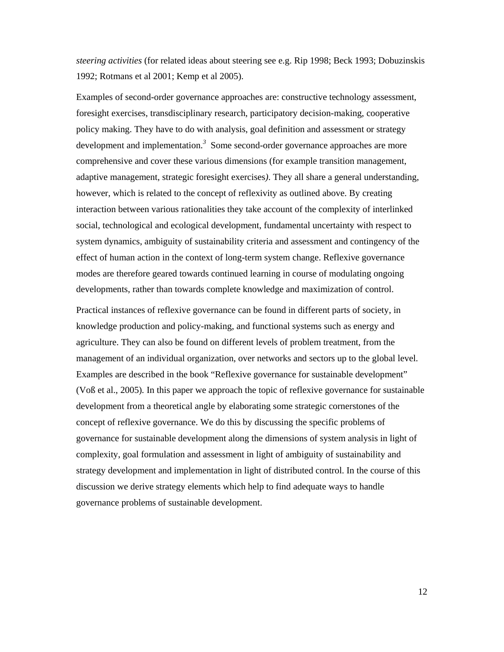*steering activities* (for related ideas about steering see e.g. Rip 1998; Beck 1993; Dobuzinskis 1992; Rotmans et al 2001; Kemp et al 2005).

Examples of second-order governance approaches are: constructive technology assessment, foresight exercises, transdisciplinary research, participatory decision-making, cooperative policy making. They have to do with analysis, goal definition and assessment or strategy development and implementation.*<sup>3</sup>* Some second-order governance approaches are more comprehensive and cover these various dimensions (for example transition management, adaptive management, strategic foresight exercises*)*. They all share a general understanding, however, which is related to the concept of reflexivity as outlined above. By creating interaction between various rationalities they take account of the complexity of interlinked social, technological and ecological development, fundamental uncertainty with respect to system dynamics, ambiguity of sustainability criteria and assessment and contingency of the effect of human action in the context of long-term system change. Reflexive governance modes are therefore geared towards continued learning in course of modulating ongoing developments, rather than towards complete knowledge and maximization of control.

Practical instances of reflexive governance can be found in different parts of society, in knowledge production and policy-making, and functional systems such as energy and agriculture. They can also be found on different levels of problem treatment, from the management of an individual organization, over networks and sectors up to the global level. Examples are described in the book "Reflexive governance for sustainable development" (Voß et al., 2005)*.* In this paper we approach the topic of reflexive governance for sustainable development from a theoretical angle by elaborating some strategic cornerstones of the concept of reflexive governance. We do this by discussing the specific problems of governance for sustainable development along the dimensions of system analysis in light of complexity, goal formulation and assessment in light of ambiguity of sustainability and strategy development and implementation in light of distributed control. In the course of this discussion we derive strategy elements which help to find adequate ways to handle governance problems of sustainable development.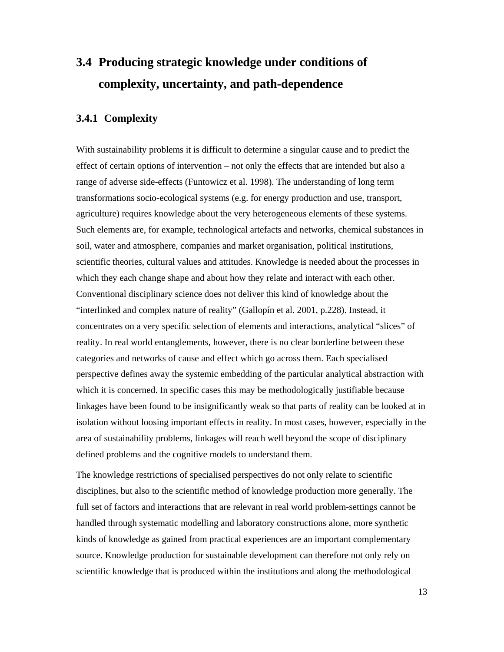# **3.4 Producing strategic knowledge under conditions of complexity, uncertainty, and path-dependence**

#### **3.4.1 Complexity**

With sustainability problems it is difficult to determine a singular cause and to predict the effect of certain options of intervention – not only the effects that are intended but also a range of adverse side-effects (Funtowicz et al. 1998). The understanding of long term transformations socio-ecological systems (e.g. for energy production and use, transport, agriculture) requires knowledge about the very heterogeneous elements of these systems. Such elements are, for example, technological artefacts and networks, chemical substances in soil, water and atmosphere, companies and market organisation, political institutions, scientific theories, cultural values and attitudes. Knowledge is needed about the processes in which they each change shape and about how they relate and interact with each other. Conventional disciplinary science does not deliver this kind of knowledge about the "interlinked and complex nature of reality" (Gallopín et al. 2001, p.228). Instead, it concentrates on a very specific selection of elements and interactions, analytical "slices" of reality. In real world entanglements, however, there is no clear borderline between these categories and networks of cause and effect which go across them. Each specialised perspective defines away the systemic embedding of the particular analytical abstraction with which it is concerned. In specific cases this may be methodologically justifiable because linkages have been found to be insignificantly weak so that parts of reality can be looked at in isolation without loosing important effects in reality. In most cases, however, especially in the area of sustainability problems, linkages will reach well beyond the scope of disciplinary defined problems and the cognitive models to understand them.

The knowledge restrictions of specialised perspectives do not only relate to scientific disciplines, but also to the scientific method of knowledge production more generally. The full set of factors and interactions that are relevant in real world problem-settings cannot be handled through systematic modelling and laboratory constructions alone, more synthetic kinds of knowledge as gained from practical experiences are an important complementary source. Knowledge production for sustainable development can therefore not only rely on scientific knowledge that is produced within the institutions and along the methodological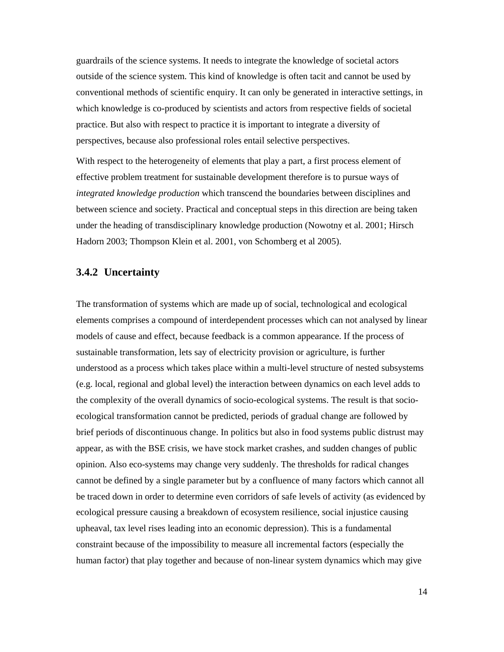guardrails of the science systems. It needs to integrate the knowledge of societal actors outside of the science system. This kind of knowledge is often tacit and cannot be used by conventional methods of scientific enquiry. It can only be generated in interactive settings, in which knowledge is co-produced by scientists and actors from respective fields of societal practice. But also with respect to practice it is important to integrate a diversity of perspectives, because also professional roles entail selective perspectives.

With respect to the heterogeneity of elements that play a part, a first process element of effective problem treatment for sustainable development therefore is to pursue ways of *integrated knowledge production* which transcend the boundaries between disciplines and between science and society. Practical and conceptual steps in this direction are being taken under the heading of transdisciplinary knowledge production (Nowotny et al. 2001; Hirsch Hadorn 2003; Thompson Klein et al. 2001, von Schomberg et al 2005).

#### **3.4.2 Uncertainty**

The transformation of systems which are made up of social, technological and ecological elements comprises a compound of interdependent processes which can not analysed by linear models of cause and effect, because feedback is a common appearance. If the process of sustainable transformation, lets say of electricity provision or agriculture, is further understood as a process which takes place within a multi-level structure of nested subsystems (e.g. local, regional and global level) the interaction between dynamics on each level adds to the complexity of the overall dynamics of socio-ecological systems. The result is that socioecological transformation cannot be predicted, periods of gradual change are followed by brief periods of discontinuous change. In politics but also in food systems public distrust may appear, as with the BSE crisis, we have stock market crashes, and sudden changes of public opinion. Also eco-systems may change very suddenly. The thresholds for radical changes cannot be defined by a single parameter but by a confluence of many factors which cannot all be traced down in order to determine even corridors of safe levels of activity (as evidenced by ecological pressure causing a breakdown of ecosystem resilience, social injustice causing upheaval, tax level rises leading into an economic depression). This is a fundamental constraint because of the impossibility to measure all incremental factors (especially the human factor) that play together and because of non-linear system dynamics which may give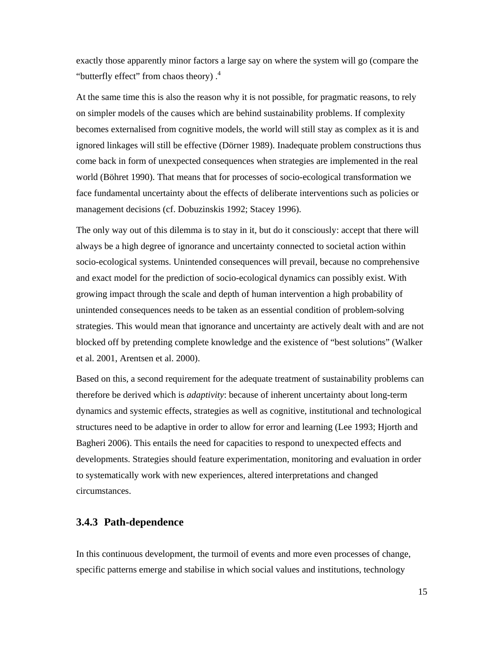exactly those apparently minor factors a large say on where the system will go (compare the "butterfly effect" from chaos theory) .4

At the same time this is also the reason why it is not possible, for pragmatic reasons, to rely on simpler models of the causes which are behind sustainability problems. If complexity becomes externalised from cognitive models, the world will still stay as complex as it is and ignored linkages will still be effective (Dörner 1989). Inadequate problem constructions thus come back in form of unexpected consequences when strategies are implemented in the real world (Böhret 1990). That means that for processes of socio-ecological transformation we face fundamental uncertainty about the effects of deliberate interventions such as policies or management decisions (cf. Dobuzinskis 1992; Stacey 1996).

The only way out of this dilemma is to stay in it, but do it consciously: accept that there will always be a high degree of ignorance and uncertainty connected to societal action within socio-ecological systems. Unintended consequences will prevail, because no comprehensive and exact model for the prediction of socio-ecological dynamics can possibly exist. With growing impact through the scale and depth of human intervention a high probability of unintended consequences needs to be taken as an essential condition of problem-solving strategies. This would mean that ignorance and uncertainty are actively dealt with and are not blocked off by pretending complete knowledge and the existence of "best solutions" (Walker et al. 2001, Arentsen et al. 2000).

Based on this, a second requirement for the adequate treatment of sustainability problems can therefore be derived which is *adaptivity*: because of inherent uncertainty about long-term dynamics and systemic effects, strategies as well as cognitive, institutional and technological structures need to be adaptive in order to allow for error and learning (Lee 1993; Hjorth and Bagheri 2006). This entails the need for capacities to respond to unexpected effects and developments. Strategies should feature experimentation, monitoring and evaluation in order to systematically work with new experiences, altered interpretations and changed circumstances.

#### **3.4.3 Path-dependence**

In this continuous development, the turmoil of events and more even processes of change, specific patterns emerge and stabilise in which social values and institutions, technology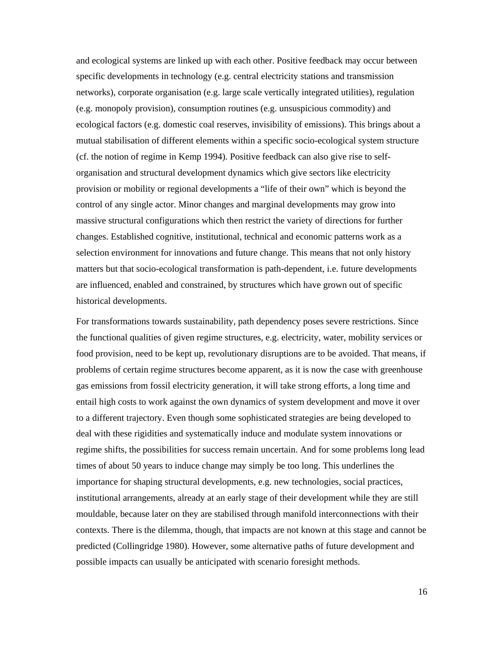and ecological systems are linked up with each other. Positive feedback may occur between specific developments in technology (e.g. central electricity stations and transmission networks), corporate organisation (e.g. large scale vertically integrated utilities), regulation (e.g. monopoly provision), consumption routines (e.g. unsuspicious commodity) and ecological factors (e.g. domestic coal reserves, invisibility of emissions). This brings about a mutual stabilisation of different elements within a specific socio-ecological system structure (cf. the notion of regime in Kemp 1994). Positive feedback can also give rise to selforganisation and structural development dynamics which give sectors like electricity provision or mobility or regional developments a "life of their own" which is beyond the control of any single actor. Minor changes and marginal developments may grow into massive structural configurations which then restrict the variety of directions for further changes. Established cognitive, institutional, technical and economic patterns work as a selection environment for innovations and future change. This means that not only history matters but that socio-ecological transformation is path-dependent, i.e. future developments are influenced, enabled and constrained, by structures which have grown out of specific historical developments.

For transformations towards sustainability, path dependency poses severe restrictions. Since the functional qualities of given regime structures, e.g. electricity, water, mobility services or food provision, need to be kept up, revolutionary disruptions are to be avoided. That means, if problems of certain regime structures become apparent, as it is now the case with greenhouse gas emissions from fossil electricity generation, it will take strong efforts, a long time and entail high costs to work against the own dynamics of system development and move it over to a different trajectory. Even though some sophisticated strategies are being developed to deal with these rigidities and systematically induce and modulate system innovations or regime shifts, the possibilities for success remain uncertain. And for some problems long lead times of about 50 years to induce change may simply be too long. This underlines the importance for shaping structural developments, e.g. new technologies, social practices, institutional arrangements, already at an early stage of their development while they are still mouldable, because later on they are stabilised through manifold interconnections with their contexts. There is the dilemma, though, that impacts are not known at this stage and cannot be predicted (Collingridge 1980). However, some alternative paths of future development and possible impacts can usually be anticipated with scenario foresight methods.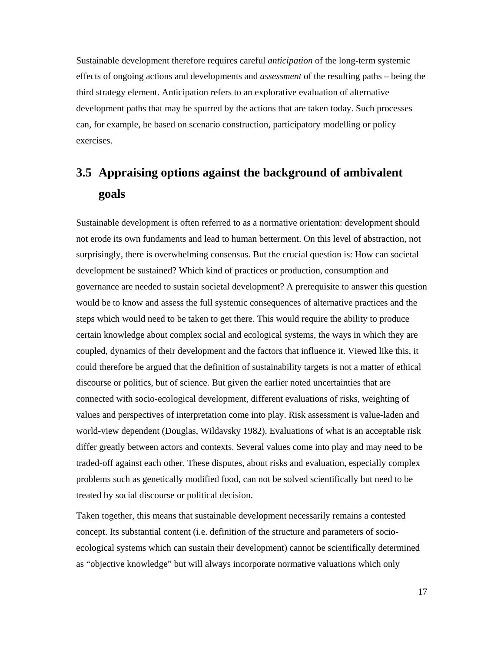Sustainable development therefore requires careful *anticipation* of the long-term systemic effects of ongoing actions and developments and *assessment* of the resulting paths – being the third strategy element. Anticipation refers to an explorative evaluation of alternative development paths that may be spurred by the actions that are taken today. Such processes can, for example, be based on scenario construction, participatory modelling or policy exercises.

# **3.5 Appraising options against the background of ambivalent goals**

Sustainable development is often referred to as a normative orientation: development should not erode its own fundaments and lead to human betterment. On this level of abstraction, not surprisingly, there is overwhelming consensus. But the crucial question is: How can societal development be sustained? Which kind of practices or production, consumption and governance are needed to sustain societal development? A prerequisite to answer this question would be to know and assess the full systemic consequences of alternative practices and the steps which would need to be taken to get there. This would require the ability to produce certain knowledge about complex social and ecological systems, the ways in which they are coupled, dynamics of their development and the factors that influence it. Viewed like this, it could therefore be argued that the definition of sustainability targets is not a matter of ethical discourse or politics, but of science. But given the earlier noted uncertainties that are connected with socio-ecological development, different evaluations of risks, weighting of values and perspectives of interpretation come into play. Risk assessment is value-laden and world-view dependent (Douglas, Wildavsky 1982). Evaluations of what is an acceptable risk differ greatly between actors and contexts. Several values come into play and may need to be traded-off against each other. These disputes, about risks and evaluation, especially complex problems such as genetically modified food, can not be solved scientifically but need to be treated by social discourse or political decision.

Taken together, this means that sustainable development necessarily remains a contested concept. Its substantial content (i.e. definition of the structure and parameters of socioecological systems which can sustain their development) cannot be scientifically determined as "objective knowledge" but will always incorporate normative valuations which only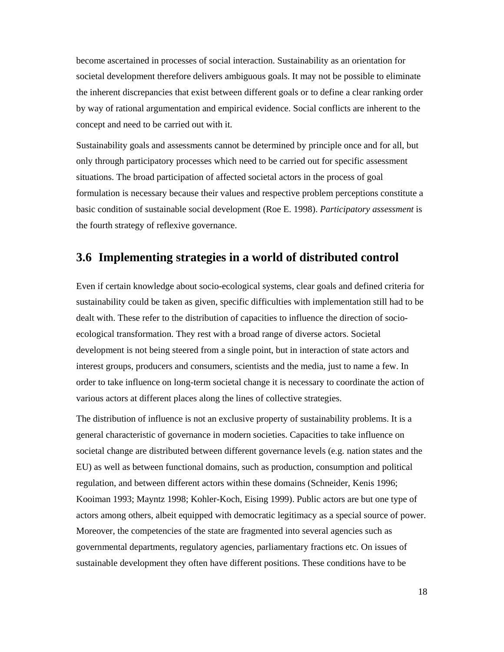become ascertained in processes of social interaction. Sustainability as an orientation for societal development therefore delivers ambiguous goals. It may not be possible to eliminate the inherent discrepancies that exist between different goals or to define a clear ranking order by way of rational argumentation and empirical evidence. Social conflicts are inherent to the concept and need to be carried out with it.

Sustainability goals and assessments cannot be determined by principle once and for all, but only through participatory processes which need to be carried out for specific assessment situations. The broad participation of affected societal actors in the process of goal formulation is necessary because their values and respective problem perceptions constitute a basic condition of sustainable social development (Roe E. 1998). *Participatory assessment* is the fourth strategy of reflexive governance.

## **3.6 Implementing strategies in a world of distributed control**

Even if certain knowledge about socio-ecological systems, clear goals and defined criteria for sustainability could be taken as given, specific difficulties with implementation still had to be dealt with. These refer to the distribution of capacities to influence the direction of socioecological transformation. They rest with a broad range of diverse actors. Societal development is not being steered from a single point, but in interaction of state actors and interest groups, producers and consumers, scientists and the media, just to name a few. In order to take influence on long-term societal change it is necessary to coordinate the action of various actors at different places along the lines of collective strategies.

The distribution of influence is not an exclusive property of sustainability problems. It is a general characteristic of governance in modern societies. Capacities to take influence on societal change are distributed between different governance levels (e.g. nation states and the EU) as well as between functional domains, such as production, consumption and political regulation, and between different actors within these domains (Schneider, Kenis 1996; Kooiman 1993; Mayntz 1998; Kohler-Koch, Eising 1999). Public actors are but one type of actors among others, albeit equipped with democratic legitimacy as a special source of power. Moreover, the competencies of the state are fragmented into several agencies such as governmental departments, regulatory agencies, parliamentary fractions etc. On issues of sustainable development they often have different positions. These conditions have to be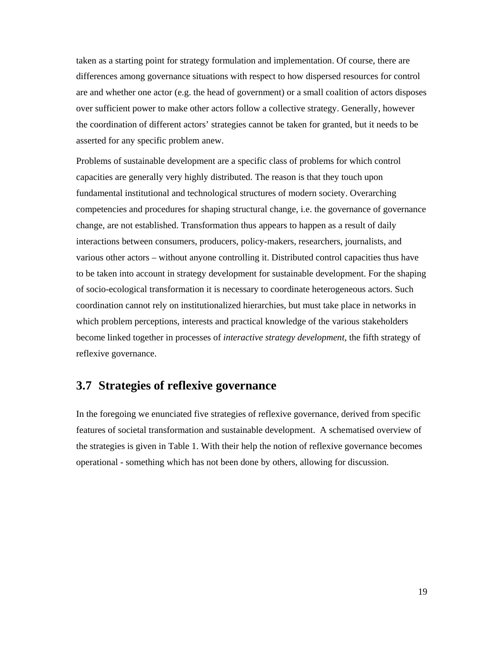taken as a starting point for strategy formulation and implementation. Of course, there are differences among governance situations with respect to how dispersed resources for control are and whether one actor (e.g. the head of government) or a small coalition of actors disposes over sufficient power to make other actors follow a collective strategy. Generally, however the coordination of different actors' strategies cannot be taken for granted, but it needs to be asserted for any specific problem anew.

Problems of sustainable development are a specific class of problems for which control capacities are generally very highly distributed. The reason is that they touch upon fundamental institutional and technological structures of modern society. Overarching competencies and procedures for shaping structural change, i.e. the governance of governance change, are not established. Transformation thus appears to happen as a result of daily interactions between consumers, producers, policy-makers, researchers, journalists, and various other actors – without anyone controlling it. Distributed control capacities thus have to be taken into account in strategy development for sustainable development. For the shaping of socio-ecological transformation it is necessary to coordinate heterogeneous actors. Such coordination cannot rely on institutionalized hierarchies, but must take place in networks in which problem perceptions, interests and practical knowledge of the various stakeholders become linked together in processes of *interactive strategy development*, the fifth strategy of reflexive governance.

## **3.7 Strategies of reflexive governance**

In the foregoing we enunciated five strategies of reflexive governance, derived from specific features of societal transformation and sustainable development. A schematised overview of the strategies is given in Table 1. With their help the notion of reflexive governance becomes operational - something which has not been done by others, allowing for discussion.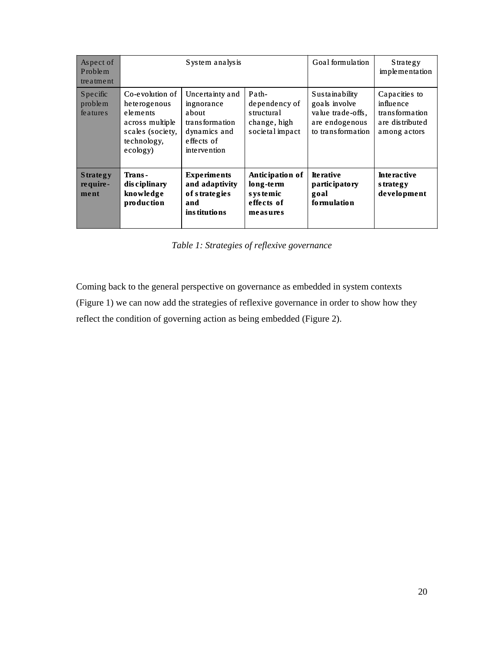| Aspect of<br>Problem<br>treatment   |                                                                                                               | System analysis                                                                                               |                                                                         | Goal formulation                                                                                   | Strategy<br>implementation                                                      |
|-------------------------------------|---------------------------------------------------------------------------------------------------------------|---------------------------------------------------------------------------------------------------------------|-------------------------------------------------------------------------|----------------------------------------------------------------------------------------------------|---------------------------------------------------------------------------------|
| Specific<br>problem<br>fe ature s   | Co-evolution of<br>heterogenous<br>elements<br>across multiple<br>scales (society,<br>technology,<br>ecology) | Uncertainty and<br>ingnorance<br>about<br>transformation<br>dynamics and<br>effects of<br><i>intervention</i> | Path-<br>dependency of<br>structural<br>change, high<br>societal impact | <b>Sustainability</b><br>goals involve<br>value trade-offs.<br>are endogenous<br>to transformation | Capacities to<br>influence<br>transformation<br>are distributed<br>among actors |
| <b>Strategy</b><br>require-<br>ment | Trans-<br>dis ciplinary<br>knowledge<br>production                                                            | <b>Experiments</b><br>and adaptivity<br>of strategies<br>and<br>ins titutions                                 | Anticipation of<br>long-term<br>s ys temic<br>effects of<br>measures    | <b>Iterative</b><br><i>participatory</i><br>goal<br>formulation                                    | <b>Interactive</b><br>s trategy<br>development                                  |

*Table 1: Strategies of reflexive governance* 

Coming back to the general perspective on governance as embedded in system contexts (Figure 1) we can now add the strategies of reflexive governance in order to show how they reflect the condition of governing action as being embedded (Figure 2).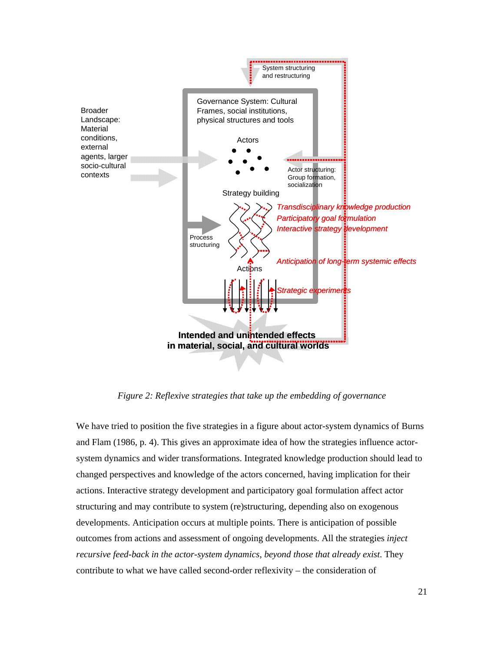

*Figure 2: Reflexive strategies that take up the embedding of governance* 

We have tried to position the five strategies in a figure about actor-system dynamics of Burns and Flam (1986, p. 4). This gives an approximate idea of how the strategies influence actorsystem dynamics and wider transformations. Integrated knowledge production should lead to changed perspectives and knowledge of the actors concerned, having implication for their actions. Interactive strategy development and participatory goal formulation affect actor structuring and may contribute to system (re)structuring, depending also on exogenous developments. Anticipation occurs at multiple points. There is anticipation of possible outcomes from actions and assessment of ongoing developments. All the strategies *inject recursive feed-back in the actor-system dynamics*, *beyond those that already exist*. They contribute to what we have called second-order reflexivity – the consideration of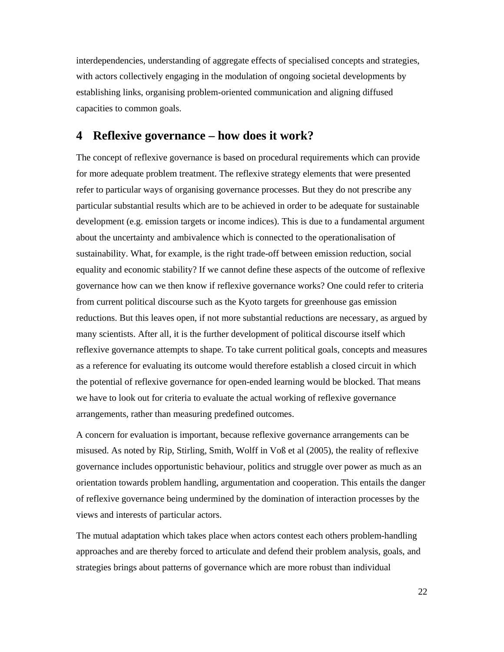interdependencies, understanding of aggregate effects of specialised concepts and strategies, with actors collectively engaging in the modulation of ongoing societal developments by establishing links, organising problem-oriented communication and aligning diffused capacities to common goals.

## **4 Reflexive governance – how does it work?**

The concept of reflexive governance is based on procedural requirements which can provide for more adequate problem treatment. The reflexive strategy elements that were presented refer to particular ways of organising governance processes. But they do not prescribe any particular substantial results which are to be achieved in order to be adequate for sustainable development (e.g. emission targets or income indices). This is due to a fundamental argument about the uncertainty and ambivalence which is connected to the operationalisation of sustainability. What, for example, is the right trade-off between emission reduction, social equality and economic stability? If we cannot define these aspects of the outcome of reflexive governance how can we then know if reflexive governance works? One could refer to criteria from current political discourse such as the Kyoto targets for greenhouse gas emission reductions. But this leaves open, if not more substantial reductions are necessary, as argued by many scientists. After all, it is the further development of political discourse itself which reflexive governance attempts to shape. To take current political goals, concepts and measures as a reference for evaluating its outcome would therefore establish a closed circuit in which the potential of reflexive governance for open-ended learning would be blocked. That means we have to look out for criteria to evaluate the actual working of reflexive governance arrangements, rather than measuring predefined outcomes.

A concern for evaluation is important, because reflexive governance arrangements can be misused. As noted by Rip, Stirling, Smith, Wolff in Voß et al (2005), the reality of reflexive governance includes opportunistic behaviour, politics and struggle over power as much as an orientation towards problem handling, argumentation and cooperation. This entails the danger of reflexive governance being undermined by the domination of interaction processes by the views and interests of particular actors.

The mutual adaptation which takes place when actors contest each others problem-handling approaches and are thereby forced to articulate and defend their problem analysis, goals, and strategies brings about patterns of governance which are more robust than individual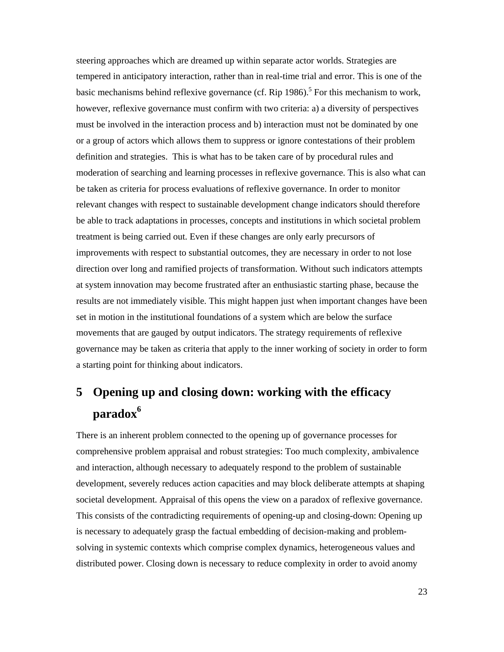steering approaches which are dreamed up within separate actor worlds. Strategies are tempered in anticipatory interaction, rather than in real-time trial and error. This is one of the basic mechanisms behind reflexive governance (cf. Rip  $1986$ ).<sup>5</sup> For this mechanism to work, however, reflexive governance must confirm with two criteria: a) a diversity of perspectives must be involved in the interaction process and b) interaction must not be dominated by one or a group of actors which allows them to suppress or ignore contestations of their problem definition and strategies. This is what has to be taken care of by procedural rules and moderation of searching and learning processes in reflexive governance. This is also what can be taken as criteria for process evaluations of reflexive governance. In order to monitor relevant changes with respect to sustainable development change indicators should therefore be able to track adaptations in processes, concepts and institutions in which societal problem treatment is being carried out. Even if these changes are only early precursors of improvements with respect to substantial outcomes, they are necessary in order to not lose direction over long and ramified projects of transformation. Without such indicators attempts at system innovation may become frustrated after an enthusiastic starting phase, because the results are not immediately visible. This might happen just when important changes have been set in motion in the institutional foundations of a system which are below the surface movements that are gauged by output indicators. The strategy requirements of reflexive governance may be taken as criteria that apply to the inner working of society in order to form a starting point for thinking about indicators.

# **5 Opening up and closing down: working with the efficacy paradox6**

There is an inherent problem connected to the opening up of governance processes for comprehensive problem appraisal and robust strategies: Too much complexity, ambivalence and interaction, although necessary to adequately respond to the problem of sustainable development, severely reduces action capacities and may block deliberate attempts at shaping societal development. Appraisal of this opens the view on a paradox of reflexive governance. This consists of the contradicting requirements of opening-up and closing-down: Opening up is necessary to adequately grasp the factual embedding of decision-making and problemsolving in systemic contexts which comprise complex dynamics, heterogeneous values and distributed power. Closing down is necessary to reduce complexity in order to avoid anomy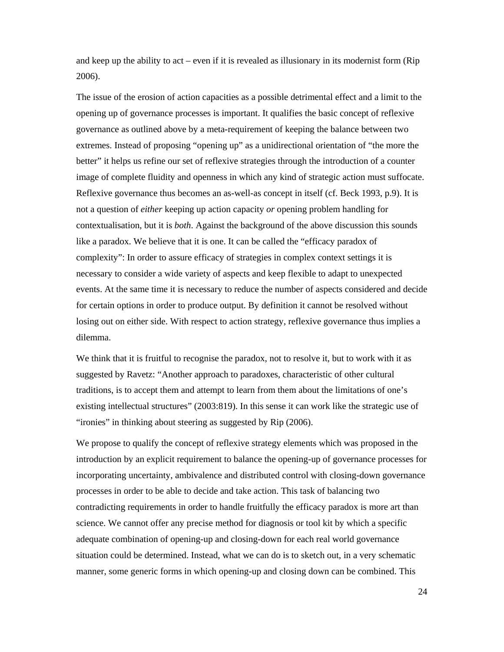and keep up the ability to act – even if it is revealed as illusionary in its modernist form (Rip 2006).

The issue of the erosion of action capacities as a possible detrimental effect and a limit to the opening up of governance processes is important. It qualifies the basic concept of reflexive governance as outlined above by a meta-requirement of keeping the balance between two extremes. Instead of proposing "opening up" as a unidirectional orientation of "the more the better" it helps us refine our set of reflexive strategies through the introduction of a counter image of complete fluidity and openness in which any kind of strategic action must suffocate. Reflexive governance thus becomes an as-well-as concept in itself (cf. Beck 1993, p.9). It is not a question of *either* keeping up action capacity *or* opening problem handling for contextualisation, but it is *both*. Against the background of the above discussion this sounds like a paradox. We believe that it is one. It can be called the "efficacy paradox of complexity": In order to assure efficacy of strategies in complex context settings it is necessary to consider a wide variety of aspects and keep flexible to adapt to unexpected events. At the same time it is necessary to reduce the number of aspects considered and decide for certain options in order to produce output. By definition it cannot be resolved without losing out on either side. With respect to action strategy, reflexive governance thus implies a dilemma.

We think that it is fruitful to recognise the paradox, not to resolve it, but to work with it as suggested by Ravetz: "Another approach to paradoxes, characteristic of other cultural traditions, is to accept them and attempt to learn from them about the limitations of one's existing intellectual structures" (2003:819). In this sense it can work like the strategic use of "ironies" in thinking about steering as suggested by Rip (2006).

We propose to qualify the concept of reflexive strategy elements which was proposed in the introduction by an explicit requirement to balance the opening-up of governance processes for incorporating uncertainty, ambivalence and distributed control with closing-down governance processes in order to be able to decide and take action. This task of balancing two contradicting requirements in order to handle fruitfully the efficacy paradox is more art than science. We cannot offer any precise method for diagnosis or tool kit by which a specific adequate combination of opening-up and closing-down for each real world governance situation could be determined. Instead, what we can do is to sketch out, in a very schematic manner, some generic forms in which opening-up and closing down can be combined. This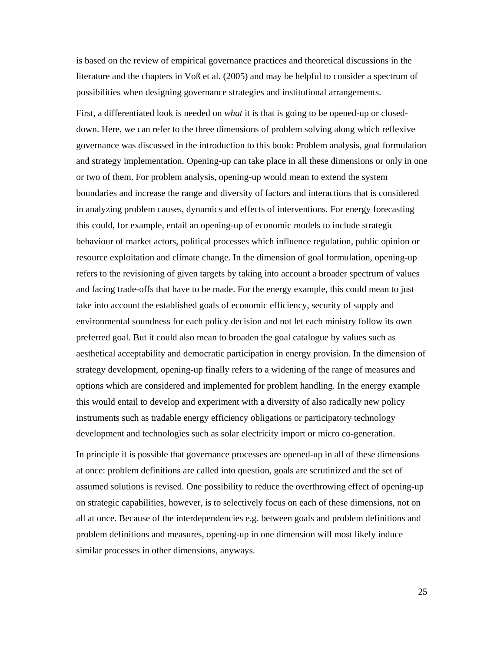is based on the review of empirical governance practices and theoretical discussions in the literature and the chapters in Voß et al. (2005) and may be helpful to consider a spectrum of possibilities when designing governance strategies and institutional arrangements.

First, a differentiated look is needed on *what* it is that is going to be opened-up or closeddown. Here, we can refer to the three dimensions of problem solving along which reflexive governance was discussed in the introduction to this book: Problem analysis, goal formulation and strategy implementation. Opening-up can take place in all these dimensions or only in one or two of them. For problem analysis, opening-up would mean to extend the system boundaries and increase the range and diversity of factors and interactions that is considered in analyzing problem causes, dynamics and effects of interventions. For energy forecasting this could, for example, entail an opening-up of economic models to include strategic behaviour of market actors, political processes which influence regulation, public opinion or resource exploitation and climate change. In the dimension of goal formulation, opening-up refers to the revisioning of given targets by taking into account a broader spectrum of values and facing trade-offs that have to be made. For the energy example, this could mean to just take into account the established goals of economic efficiency, security of supply and environmental soundness for each policy decision and not let each ministry follow its own preferred goal. But it could also mean to broaden the goal catalogue by values such as aesthetical acceptability and democratic participation in energy provision. In the dimension of strategy development, opening-up finally refers to a widening of the range of measures and options which are considered and implemented for problem handling. In the energy example this would entail to develop and experiment with a diversity of also radically new policy instruments such as tradable energy efficiency obligations or participatory technology development and technologies such as solar electricity import or micro co-generation.

In principle it is possible that governance processes are opened-up in all of these dimensions at once: problem definitions are called into question, goals are scrutinized and the set of assumed solutions is revised. One possibility to reduce the overthrowing effect of opening-up on strategic capabilities, however, is to selectively focus on each of these dimensions, not on all at once. Because of the interdependencies e.g. between goals and problem definitions and problem definitions and measures, opening-up in one dimension will most likely induce similar processes in other dimensions, anyways.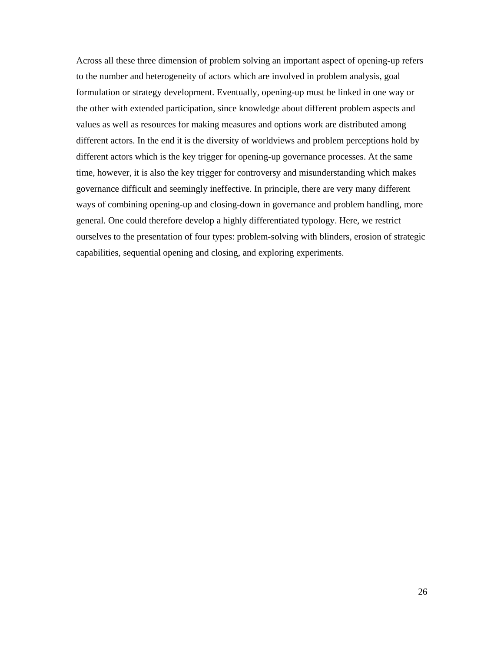Across all these three dimension of problem solving an important aspect of opening-up refers to the number and heterogeneity of actors which are involved in problem analysis, goal formulation or strategy development. Eventually, opening-up must be linked in one way or the other with extended participation, since knowledge about different problem aspects and values as well as resources for making measures and options work are distributed among different actors. In the end it is the diversity of worldviews and problem perceptions hold by different actors which is the key trigger for opening-up governance processes. At the same time, however, it is also the key trigger for controversy and misunderstanding which makes governance difficult and seemingly ineffective. In principle, there are very many different ways of combining opening-up and closing-down in governance and problem handling, more general. One could therefore develop a highly differentiated typology. Here, we restrict ourselves to the presentation of four types: problem-solving with blinders, erosion of strategic capabilities, sequential opening and closing, and exploring experiments.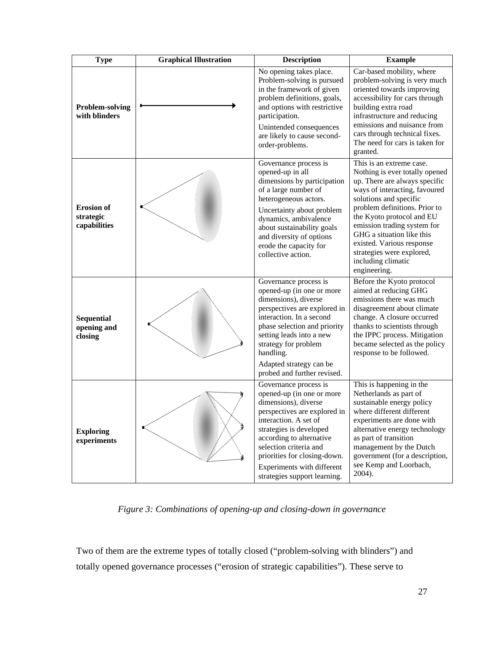| <b>Type</b>                                    | <b>Graphical Illustration</b> | <b>Description</b>                                                                                                                                                                                                                                                                                                 | <b>Example</b>                                                                                                                                                                                                                                                                                                                                                                   |
|------------------------------------------------|-------------------------------|--------------------------------------------------------------------------------------------------------------------------------------------------------------------------------------------------------------------------------------------------------------------------------------------------------------------|----------------------------------------------------------------------------------------------------------------------------------------------------------------------------------------------------------------------------------------------------------------------------------------------------------------------------------------------------------------------------------|
| <b>Problem-solving</b><br>with blinders        |                               | No opening takes place.<br>Problem-solving is pursued<br>in the framework of given<br>problem definitions, goals,<br>and options with restrictive<br>participation.<br>Unintended consequences<br>are likely to cause second-<br>order-problems.                                                                   | Car-based mobility, where<br>problem-solving is very much<br>oriented towards improving<br>accessibility for cars through<br>building extra road<br>infrastructure and reducing<br>emissions and nuisance from<br>cars through technical fixes.<br>The need for cars is taken for<br>granted.                                                                                    |
| <b>Erosion</b> of<br>strategic<br>capabilities |                               | Governance process is<br>opened-up in all<br>dimensions by participation<br>of a large number of<br>heterogeneous actors.<br>Uncertainty about problem<br>dynamics, ambivalence<br>about sustainability goals<br>and diversity of options<br>erode the capacity for<br>collective action.                          | This is an extreme case.<br>Nothing is ever totally opened<br>up. There are always specific<br>ways of interacting, favoured<br>solutions and specific<br>problem definitions. Prior to<br>the Kyoto protocol and EU<br>emission trading system for<br>GHG a situation like this<br>existed. Various response<br>strategies were explored,<br>including climatic<br>engineering. |
| <b>Sequential</b><br>opening and<br>closing    |                               | Governance process is<br>opened-up (in one or more<br>dimensions), diverse<br>perspectives are explored in<br>interaction. In a second<br>phase selection and priority<br>setting leads into a new<br>strategy for problem<br>handling.<br>Adapted strategy can be<br>probed and further revised.                  | Before the Kyoto protocol<br>aimed at reducing GHG<br>emissions there was much<br>disagreement about climate<br>change. A closure occurred<br>thanks to scientists through<br>the IPPC process. Mitigation<br>became selected as the policy<br>response to be followed.                                                                                                          |
| <b>Exploring</b><br>experiments                |                               | Governance process is<br>opened-up (in one or more<br>dimensions), diverse<br>perspectives are explored in<br>interaction. A set of<br>strategies is developed<br>according to alternative<br>selection criteria and<br>priorities for closing-down.<br>Experiments with different<br>strategies support learning. | This is happening in the<br>Netherlands as part of<br>sustainable energy policy<br>where different different<br>experiments are done with<br>alternative energy technology<br>as part of transition<br>management by the Dutch<br>government (for a description,<br>see Kemp and Loorbach,<br>2004).                                                                             |

*Figure 3: Combinations of opening-up and closing-down in governance* 

Two of them are the extreme types of totally closed ("problem-solving with blinders") and totally opened governance processes ("erosion of strategic capabilities"). These serve to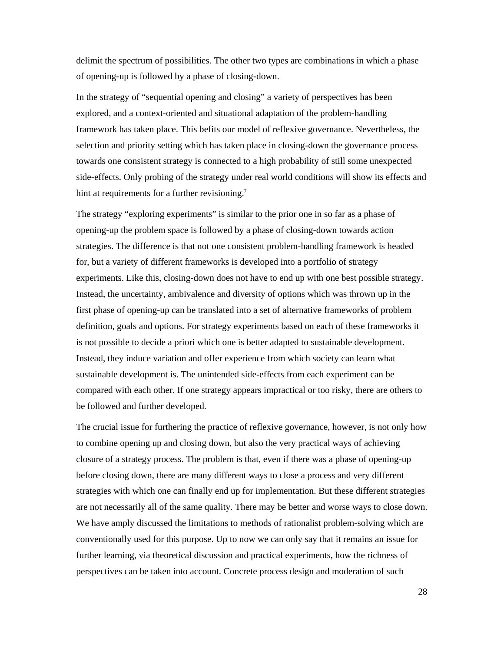delimit the spectrum of possibilities. The other two types are combinations in which a phase of opening-up is followed by a phase of closing-down.

In the strategy of "sequential opening and closing" a variety of perspectives has been explored, and a context-oriented and situational adaptation of the problem-handling framework has taken place. This befits our model of reflexive governance. Nevertheless, the selection and priority setting which has taken place in closing-down the governance process towards one consistent strategy is connected to a high probability of still some unexpected side-effects. Only probing of the strategy under real world conditions will show its effects and hint at requirements for a further revisioning.<sup>7</sup>

The strategy "exploring experiments" is similar to the prior one in so far as a phase of opening-up the problem space is followed by a phase of closing-down towards action strategies. The difference is that not one consistent problem-handling framework is headed for, but a variety of different frameworks is developed into a portfolio of strategy experiments. Like this, closing-down does not have to end up with one best possible strategy. Instead, the uncertainty, ambivalence and diversity of options which was thrown up in the first phase of opening-up can be translated into a set of alternative frameworks of problem definition, goals and options. For strategy experiments based on each of these frameworks it is not possible to decide a priori which one is better adapted to sustainable development. Instead, they induce variation and offer experience from which society can learn what sustainable development is. The unintended side-effects from each experiment can be compared with each other. If one strategy appears impractical or too risky, there are others to be followed and further developed.

The crucial issue for furthering the practice of reflexive governance, however, is not only how to combine opening up and closing down, but also the very practical ways of achieving closure of a strategy process. The problem is that, even if there was a phase of opening-up before closing down, there are many different ways to close a process and very different strategies with which one can finally end up for implementation. But these different strategies are not necessarily all of the same quality. There may be better and worse ways to close down. We have amply discussed the limitations to methods of rationalist problem-solving which are conventionally used for this purpose. Up to now we can only say that it remains an issue for further learning, via theoretical discussion and practical experiments, how the richness of perspectives can be taken into account. Concrete process design and moderation of such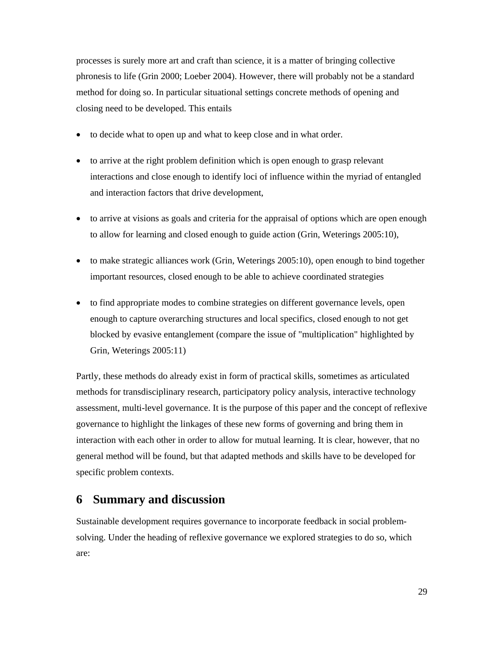processes is surely more art and craft than science, it is a matter of bringing collective phronesis to life (Grin 2000; Loeber 2004). However, there will probably not be a standard method for doing so. In particular situational settings concrete methods of opening and closing need to be developed. This entails

- to decide what to open up and what to keep close and in what order.
- to arrive at the right problem definition which is open enough to grasp relevant interactions and close enough to identify loci of influence within the myriad of entangled and interaction factors that drive development,
- to arrive at visions as goals and criteria for the appraisal of options which are open enough to allow for learning and closed enough to guide action (Grin, Weterings 2005:10),
- to make strategic alliances work (Grin, Weterings 2005:10), open enough to bind together important resources, closed enough to be able to achieve coordinated strategies
- to find appropriate modes to combine strategies on different governance levels, open enough to capture overarching structures and local specifics, closed enough to not get blocked by evasive entanglement (compare the issue of "multiplication" highlighted by Grin, Weterings 2005:11)

Partly, these methods do already exist in form of practical skills, sometimes as articulated methods for transdisciplinary research, participatory policy analysis, interactive technology assessment, multi-level governance. It is the purpose of this paper and the concept of reflexive governance to highlight the linkages of these new forms of governing and bring them in interaction with each other in order to allow for mutual learning. It is clear, however, that no general method will be found, but that adapted methods and skills have to be developed for specific problem contexts.

## **6 Summary and discussion**

Sustainable development requires governance to incorporate feedback in social problemsolving. Under the heading of reflexive governance we explored strategies to do so, which are: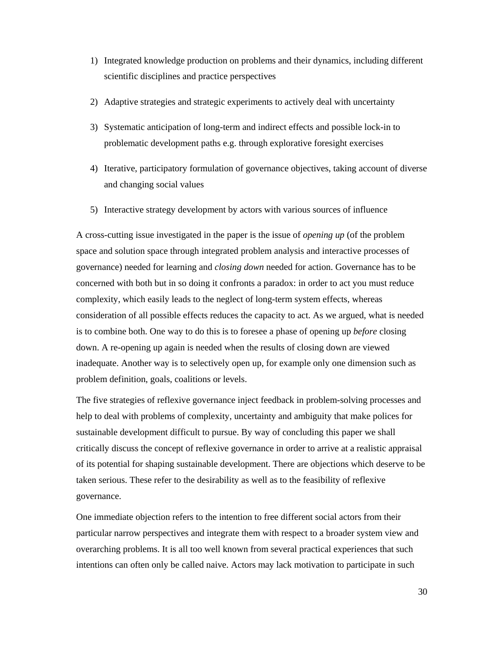- 1) Integrated knowledge production on problems and their dynamics, including different scientific disciplines and practice perspectives
- 2) Adaptive strategies and strategic experiments to actively deal with uncertainty
- 3) Systematic anticipation of long-term and indirect effects and possible lock-in to problematic development paths e.g. through explorative foresight exercises
- 4) Iterative, participatory formulation of governance objectives, taking account of diverse and changing social values
- 5) Interactive strategy development by actors with various sources of influence

A cross-cutting issue investigated in the paper is the issue of *opening up* (of the problem space and solution space through integrated problem analysis and interactive processes of governance) needed for learning and *closing down* needed for action. Governance has to be concerned with both but in so doing it confronts a paradox: in order to act you must reduce complexity, which easily leads to the neglect of long-term system effects, whereas consideration of all possible effects reduces the capacity to act. As we argued, what is needed is to combine both. One way to do this is to foresee a phase of opening up *before* closing down. A re-opening up again is needed when the results of closing down are viewed inadequate. Another way is to selectively open up, for example only one dimension such as problem definition, goals, coalitions or levels.

The five strategies of reflexive governance inject feedback in problem-solving processes and help to deal with problems of complexity, uncertainty and ambiguity that make polices for sustainable development difficult to pursue. By way of concluding this paper we shall critically discuss the concept of reflexive governance in order to arrive at a realistic appraisal of its potential for shaping sustainable development. There are objections which deserve to be taken serious. These refer to the desirability as well as to the feasibility of reflexive governance.

One immediate objection refers to the intention to free different social actors from their particular narrow perspectives and integrate them with respect to a broader system view and overarching problems. It is all too well known from several practical experiences that such intentions can often only be called naive. Actors may lack motivation to participate in such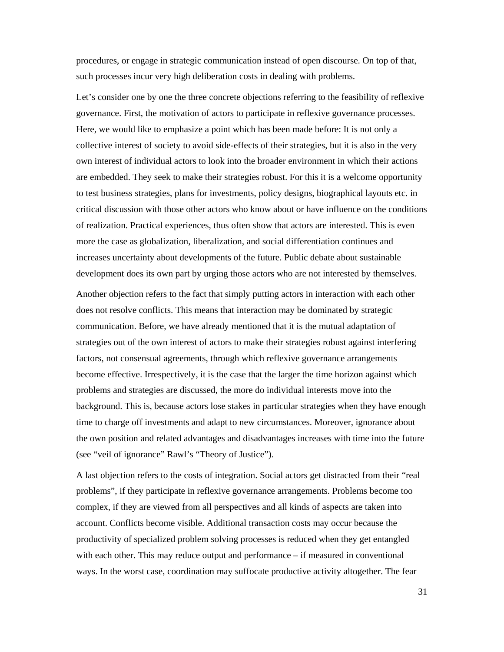procedures, or engage in strategic communication instead of open discourse. On top of that, such processes incur very high deliberation costs in dealing with problems.

Let's consider one by one the three concrete objections referring to the feasibility of reflexive governance. First, the motivation of actors to participate in reflexive governance processes. Here, we would like to emphasize a point which has been made before: It is not only a collective interest of society to avoid side-effects of their strategies, but it is also in the very own interest of individual actors to look into the broader environment in which their actions are embedded. They seek to make their strategies robust. For this it is a welcome opportunity to test business strategies, plans for investments, policy designs, biographical layouts etc. in critical discussion with those other actors who know about or have influence on the conditions of realization. Practical experiences, thus often show that actors are interested. This is even more the case as globalization, liberalization, and social differentiation continues and increases uncertainty about developments of the future. Public debate about sustainable development does its own part by urging those actors who are not interested by themselves.

Another objection refers to the fact that simply putting actors in interaction with each other does not resolve conflicts. This means that interaction may be dominated by strategic communication. Before, we have already mentioned that it is the mutual adaptation of strategies out of the own interest of actors to make their strategies robust against interfering factors, not consensual agreements, through which reflexive governance arrangements become effective. Irrespectively, it is the case that the larger the time horizon against which problems and strategies are discussed, the more do individual interests move into the background. This is, because actors lose stakes in particular strategies when they have enough time to charge off investments and adapt to new circumstances. Moreover, ignorance about the own position and related advantages and disadvantages increases with time into the future (see "veil of ignorance" Rawl's "Theory of Justice").

A last objection refers to the costs of integration. Social actors get distracted from their "real problems", if they participate in reflexive governance arrangements. Problems become too complex, if they are viewed from all perspectives and all kinds of aspects are taken into account. Conflicts become visible. Additional transaction costs may occur because the productivity of specialized problem solving processes is reduced when they get entangled with each other. This may reduce output and performance – if measured in conventional ways. In the worst case, coordination may suffocate productive activity altogether. The fear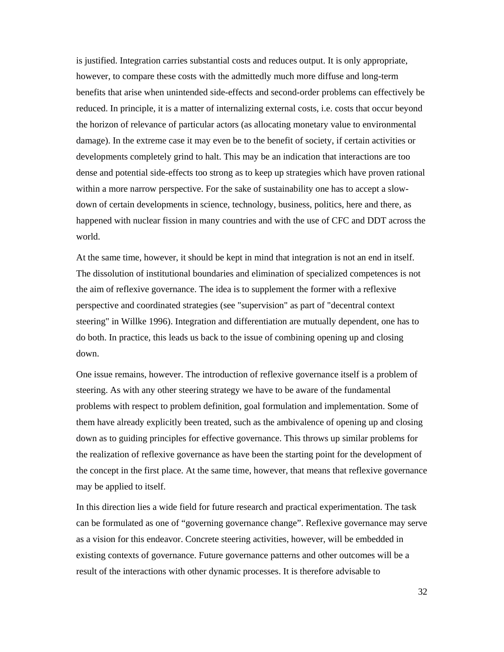is justified. Integration carries substantial costs and reduces output. It is only appropriate, however, to compare these costs with the admittedly much more diffuse and long-term benefits that arise when unintended side-effects and second-order problems can effectively be reduced. In principle, it is a matter of internalizing external costs, i.e. costs that occur beyond the horizon of relevance of particular actors (as allocating monetary value to environmental damage). In the extreme case it may even be to the benefit of society, if certain activities or developments completely grind to halt. This may be an indication that interactions are too dense and potential side-effects too strong as to keep up strategies which have proven rational within a more narrow perspective. For the sake of sustainability one has to accept a slowdown of certain developments in science, technology, business, politics, here and there, as happened with nuclear fission in many countries and with the use of CFC and DDT across the world.

At the same time, however, it should be kept in mind that integration is not an end in itself. The dissolution of institutional boundaries and elimination of specialized competences is not the aim of reflexive governance. The idea is to supplement the former with a reflexive perspective and coordinated strategies (see "supervision" as part of "decentral context steering" in Willke 1996). Integration and differentiation are mutually dependent, one has to do both. In practice, this leads us back to the issue of combining opening up and closing down.

One issue remains, however. The introduction of reflexive governance itself is a problem of steering. As with any other steering strategy we have to be aware of the fundamental problems with respect to problem definition, goal formulation and implementation. Some of them have already explicitly been treated, such as the ambivalence of opening up and closing down as to guiding principles for effective governance. This throws up similar problems for the realization of reflexive governance as have been the starting point for the development of the concept in the first place. At the same time, however, that means that reflexive governance may be applied to itself.

In this direction lies a wide field for future research and practical experimentation. The task can be formulated as one of "governing governance change". Reflexive governance may serve as a vision for this endeavor. Concrete steering activities, however, will be embedded in existing contexts of governance. Future governance patterns and other outcomes will be a result of the interactions with other dynamic processes. It is therefore advisable to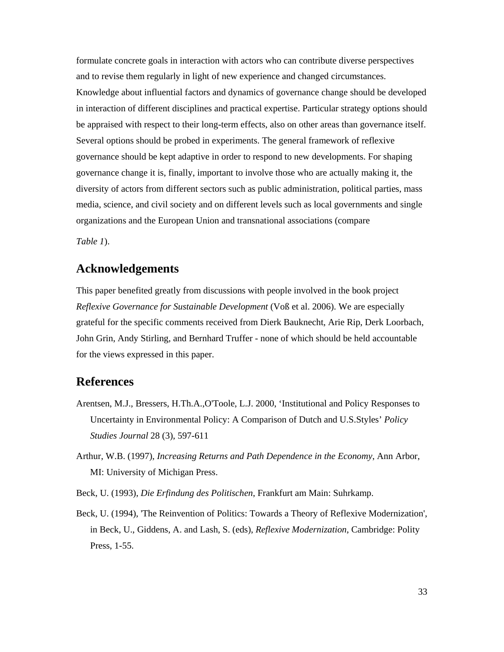formulate concrete goals in interaction with actors who can contribute diverse perspectives and to revise them regularly in light of new experience and changed circumstances. Knowledge about influential factors and dynamics of governance change should be developed in interaction of different disciplines and practical expertise. Particular strategy options should be appraised with respect to their long-term effects, also on other areas than governance itself. Several options should be probed in experiments. The general framework of reflexive governance should be kept adaptive in order to respond to new developments. For shaping governance change it is, finally, important to involve those who are actually making it, the diversity of actors from different sectors such as public administration, political parties, mass media, science, and civil society and on different levels such as local governments and single organizations and the European Union and transnational associations (compare

*Table 1*).

# **Acknowledgements**

This paper benefited greatly from discussions with people involved in the book project *Reflexive Governance for Sustainable Development* (Voß et al. 2006). We are especially grateful for the specific comments received from Dierk Bauknecht, Arie Rip, Derk Loorbach, John Grin, Andy Stirling, and Bernhard Truffer - none of which should be held accountable for the views expressed in this paper.

### **References**

- Arentsen, M.J., Bressers, H.Th.A.,O'Toole, L.J. 2000, 'Institutional and Policy Responses to Uncertainty in Environmental Policy: A Comparison of Dutch and U.S.Styles' *Policy Studies Journal* 28 (3), 597-611
- Arthur, W.B. (1997), *Increasing Returns and Path Dependence in the Economy*, Ann Arbor, MI: University of Michigan Press.
- Beck, U. (1993), *Die Erfindung des Politischen*, Frankfurt am Main: Suhrkamp.
- Beck, U. (1994), 'The Reinvention of Politics: Towards a Theory of Reflexive Modernization', in Beck, U., Giddens, A. and Lash, S. (eds), *Reflexive Modernization*, Cambridge: Polity Press, 1-55.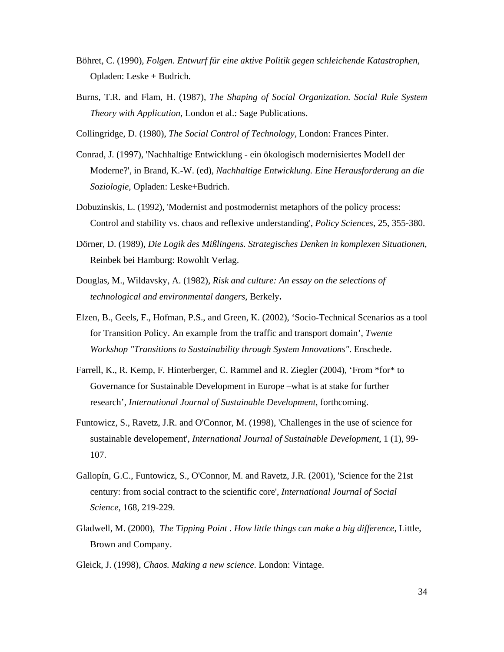- Böhret, C. (1990), *Folgen. Entwurf für eine aktive Politik gegen schleichende Katastrophen*, Opladen: Leske + Budrich.
- Burns, T.R. and Flam, H. (1987), *The Shaping of Social Organization. Social Rule System Theory with Application*, London et al.: Sage Publications.
- Collingridge, D. (1980), *The Social Control of Technology*, London: Frances Pinter.
- Conrad, J. (1997), 'Nachhaltige Entwicklung ein ökologisch modernisiertes Modell der Moderne?', in Brand, K.-W. (ed), *Nachhaltige Entwicklung. Eine Herausforderung an die Soziologie*, Opladen: Leske+Budrich.
- Dobuzinskis, L. (1992), 'Modernist and postmodernist metaphors of the policy process: Control and stability vs. chaos and reflexive understanding', *Policy Sciences*, 25, 355-380.
- Dörner, D. (1989), *Die Logik des Mißlingens. Strategisches Denken in komplexen Situationen*, Reinbek bei Hamburg: Rowohlt Verlag.
- Douglas, M., Wildavsky, A. (1982), *Risk and culture: An essay on the selections of technological and environmental dangers*, Berkely**.**
- Elzen, B., Geels, F., Hofman, P.S., and Green, K. (2002), 'Socio-Technical Scenarios as a tool for Transition Policy. An example from the traffic and transport domain', *Twente Workshop "Transitions to Sustainability through System Innovations"*. Enschede.
- Farrell, K., R. Kemp, F. Hinterberger, C. Rammel and R. Ziegler (2004), 'From \*for\* to Governance for Sustainable Development in Europe –what is at stake for further research', *International Journal of Sustainable Development*, forthcoming.
- Funtowicz, S., Ravetz, J.R. and O'Connor, M. (1998), 'Challenges in the use of science for sustainable developement', *International Journal of Sustainable Development*, 1 (1), 99- 107.
- Gallopín, G.C., Funtowicz, S., O'Connor, M. and Ravetz, J.R. (2001), 'Science for the 21st century: from social contract to the scientific core', *International Journal of Social Science*, 168, 219-229.
- Gladwell, M. (2000), *The Tipping Point . How little things can make a big difference*, Little, Brown and Company.

Gleick, J. (1998), *Chaos. Making a new science*. London: Vintage.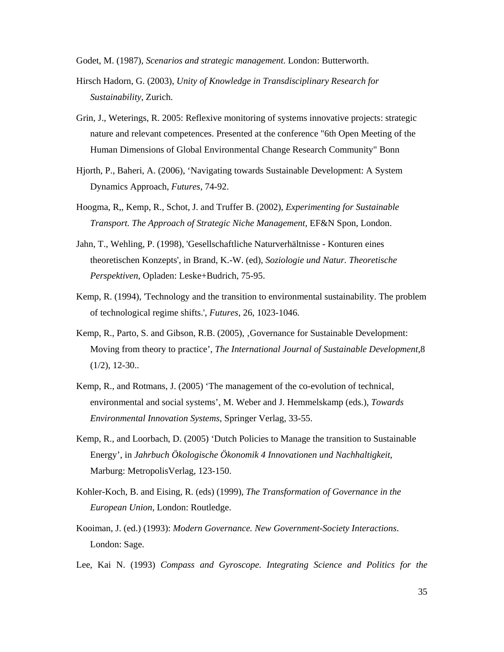Godet, M. (1987), *Scenarios and strategic management*. London: Butterworth.

- Hirsch Hadorn, G. (2003), *Unity of Knowledge in Transdisciplinary Research for Sustainability,* Zurich.
- Grin, J., Weterings, R. 2005: Reflexive monitoring of systems innovative projects: strategic nature and relevant competences. Presented at the conference "6th Open Meeting of the Human Dimensions of Global Environmental Change Research Community" Bonn
- Hjorth, P., Baheri, A. (2006), 'Navigating towards Sustainable Development: A System Dynamics Approach, *Futures*, 74-92.
- Hoogma, R,, Kemp, R., Schot, J. and Truffer B. (2002), *Experimenting for Sustainable Transport. The Approach of Strategic Niche Management*, EF&N Spon, London.
- Jahn, T., Wehling, P. (1998), 'Gesellschaftliche Naturverhältnisse Konturen eines theoretischen Konzepts', in Brand, K.-W. (ed), *Soziologie und Natur. Theoretische Perspektiven*, Opladen: Leske+Budrich, 75-95.
- Kemp, R. (1994), 'Technology and the transition to environmental sustainability. The problem of technological regime shifts.', *Futures*, 26, 1023-1046.
- Kemp, R., Parto, S. and Gibson, R.B. (2005), Governance for Sustainable Development: Moving from theory to practice', *The International Journal of Sustainable Development*,8  $(1/2), 12-30...$
- Kemp, R., and Rotmans, J. (2005) 'The management of the co-evolution of technical, environmental and social systems', M. Weber and J. Hemmelskamp (eds.), *Towards Environmental Innovation Systems*, Springer Verlag, 33-55.
- Kemp, R., and Loorbach, D. (2005) 'Dutch Policies to Manage the transition to Sustainable Energy', in *Jahrbuch Ökologische Ökonomik 4 Innovationen und Nachhaltigkeit*, Marburg: MetropolisVerlag, 123-150.
- Kohler-Koch, B. and Eising, R. (eds) (1999), *The Transformation of Governance in the European Union*, London: Routledge.
- Kooiman, J. (ed.) (1993): *Modern Governance. New Government-Society Interactions*. London: Sage.
- Lee, Kai N. (1993) *Compass and Gyroscope. Integrating Science and Politics for the*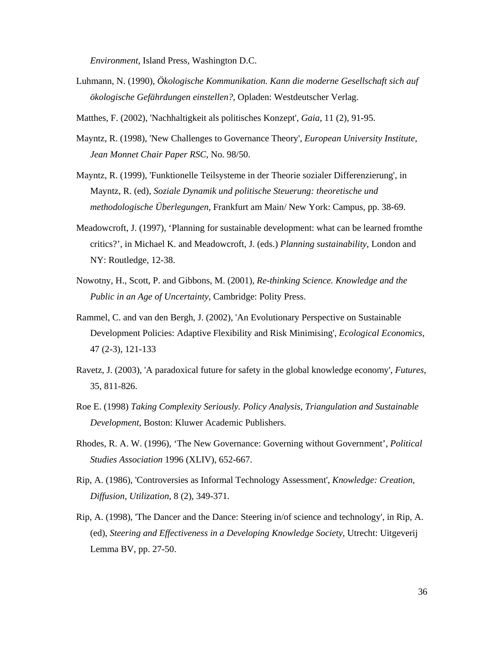*Environment*, Island Press, Washington D.C.

- Luhmann, N. (1990), *Ökologische Kommunikation. Kann die moderne Gesellschaft sich auf ökologische Gefährdungen einstellen?*, Opladen: Westdeutscher Verlag.
- Matthes, F. (2002), 'Nachhaltigkeit als politisches Konzept', *Gaia*, 11 (2), 91-95.
- Mayntz, R. (1998), 'New Challenges to Governance Theory', *European University Institute, Jean Monnet Chair Paper RSC*, No. 98/50.
- Mayntz, R. (1999), 'Funktionelle Teilsysteme in der Theorie sozialer Differenzierung', in Mayntz, R. (ed), *Soziale Dynamik und politische Steuerung: theoretische und methodologische Überlegungen*, Frankfurt am Main/ New York: Campus, pp. 38-69.
- Meadowcroft, J. (1997), 'Planning for sustainable development: what can be learned fromthe critics?', in Michael K. and Meadowcroft, J. (eds.) *Planning sustainability*, London and NY: Routledge, 12-38.
- Nowotny, H., Scott, P. and Gibbons, M. (2001), *Re-thinking Science. Knowledge and the Public in an Age of Uncertainty*, Cambridge: Polity Press.
- Rammel, C. and van den Bergh, J. (2002), 'An Evolutionary Perspective on Sustainable Development Policies: Adaptive Flexibility and Risk Minimising', *Ecological Economics*, 47 (2-3), 121-133
- Ravetz, J. (2003), 'A paradoxical future for safety in the global knowledge economy', *Futures*, 35, 811-826.
- Roe E. (1998) *Taking Complexity Seriously. Policy Analysis, Triangulation and Sustainable Development*, Boston: Kluwer Academic Publishers.
- Rhodes, R. A. W. (1996), 'The New Governance: Governing without Government', *Political Studies Association* 1996 (XLIV), 652-667.
- Rip, A. (1986), 'Controversies as Informal Technology Assessment', *Knowledge: Creation, Diffusion, Utilization*, 8 (2), 349-371.
- Rip, A. (1998), 'The Dancer and the Dance: Steering in/of science and technology', in Rip, A. (ed), *Steering and Effectiveness in a Developing Knowledge Society*, Utrecht: Uitgeverij Lemma BV, pp. 27-50.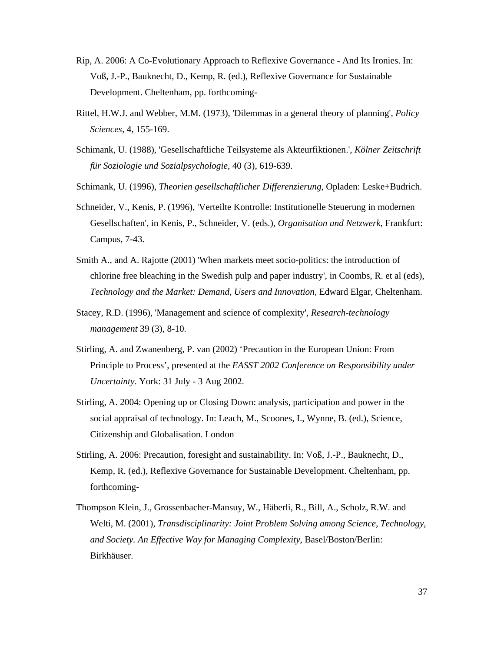- Rip, A. 2006: A Co-Evolutionary Approach to Reflexive Governance And Its Ironies. In: Voß, J.-P., Bauknecht, D., Kemp, R. (ed.), Reflexive Governance for Sustainable Development. Cheltenham, pp. forthcoming-
- Rittel, H.W.J. and Webber, M.M. (1973), 'Dilemmas in a general theory of planning', *Policy Sciences*, 4, 155-169.
- Schimank, U. (1988), 'Gesellschaftliche Teilsysteme als Akteurfiktionen.', *Kölner Zeitschrift für Soziologie und Sozialpsychologie*, 40 (3), 619-639.
- Schimank, U. (1996), *Theorien gesellschaftlicher Differenzierung*, Opladen: Leske+Budrich.
- Schneider, V., Kenis, P. (1996), 'Verteilte Kontrolle: Institutionelle Steuerung in modernen Gesellschaften', in Kenis, P., Schneider, V. (eds.), *Organisation und Netzwerk*, Frankfurt: Campus, 7-43.
- Smith A., and A. Rajotte (2001) 'When markets meet socio-politics: the introduction of chlorine free bleaching in the Swedish pulp and paper industry', in Coombs, R. et al (eds), *Technology and the Market: Demand, Users and Innovation,* Edward Elgar, Cheltenham.
- Stacey, R.D. (1996), 'Management and science of complexity', *Research-technology management* 39 (3), 8-10.
- Stirling, A. and Zwanenberg, P. van (2002) 'Precaution in the European Union: From Principle to Process', presented at the *EASST 2002 Conference on Responsibility under Uncertainty*. York: 31 July - 3 Aug 2002.
- Stirling, A. 2004: Opening up or Closing Down: analysis, participation and power in the social appraisal of technology. In: Leach, M., Scoones, I., Wynne, B. (ed.), Science, Citizenship and Globalisation. London
- Stirling, A. 2006: Precaution, foresight and sustainability. In: Voß, J.-P., Bauknecht, D., Kemp, R. (ed.), Reflexive Governance for Sustainable Development. Cheltenham, pp. forthcoming-
- Thompson Klein, J., Grossenbacher-Mansuy, W., Häberli, R., Bill, A., Scholz, R.W. and Welti, M. (2001), *Transdisciplinarity: Joint Problem Solving among Science, Technology, and Society. An Effective Way for Managing Complexity*, Basel/Boston/Berlin: Birkhäuser.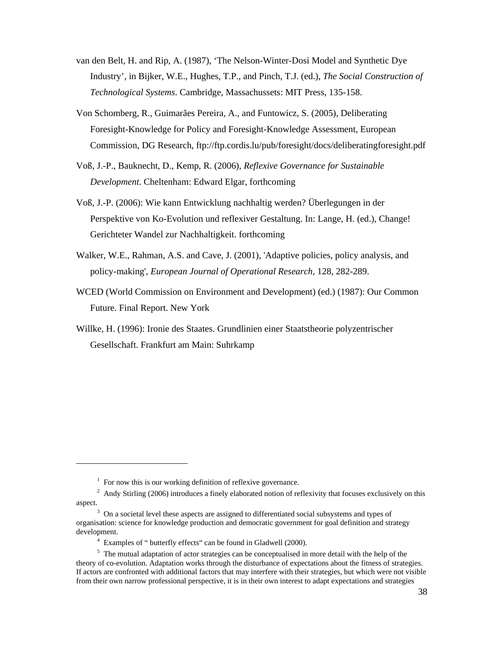- van den Belt, H. and Rip, A. (1987), 'The Nelson-Winter-Dosi Model and Synthetic Dye Industry', in Bijker, W.E., Hughes, T.P., and Pinch, T.J. (ed.), *The Social Construction of Technological Systems*. Cambridge, Massachussets: MIT Press, 135-158.
- Von Schomberg, R., Guimarães Pereira, A., and Funtowicz, S. (2005), Deliberating Foresight-Knowledge for Policy and Foresight-Knowledge Assessment, European Commission, DG Research, ftp://ftp.cordis.lu/pub/foresight/docs/deliberatingforesight.pdf
- Voß, J.-P., Bauknecht, D., Kemp, R. (2006), *Reflexive Governance for Sustainable Development*. Cheltenham: Edward Elgar, forthcoming
- Voß, J.-P. (2006): Wie kann Entwicklung nachhaltig werden? Überlegungen in der Perspektive von Ko-Evolution und reflexiver Gestaltung. In: Lange, H. (ed.), Change! Gerichteter Wandel zur Nachhaltigkeit. forthcoming
- Walker, W.E., Rahman, A.S. and Cave, J. (2001), 'Adaptive policies, policy analysis, and policy-making', *European Journal of Operational Research*, 128, 282-289.
- WCED (World Commission on Environment and Development) (ed.) (1987): Our Common Future. Final Report. New York
- Willke, H. (1996): Ironie des Staates. Grundlinien einer Staatstheorie polyzentrischer Gesellschaft. Frankfurt am Main: Suhrkamp

 $\overline{a}$ 

<sup>&</sup>lt;sup>1</sup> For now this is our working definition of reflexive governance.

 $2$  Andy Stirling (2006) introduces a finely elaborated notion of reflexivity that focuses exclusively on this aspect.

 $3$  On a societal level these aspects are assigned to differentiated social subsystems and types of organisation: science for knowledge production and democratic government for goal definition and strategy development.

Examples of " butterfly effects" can be found in Gladwell (2000).

<sup>&</sup>lt;sup>5</sup> The mutual adaptation of actor strategies can be conceptualised in more detail with the help of the theory of co-evolution. Adaptation works through the disturbance of expectations about the fitness of strategies. If actors are confronted with additional factors that may interfere with their strategies, but which were not visible from their own narrow professional perspective, it is in their own interest to adapt expectations and strategies